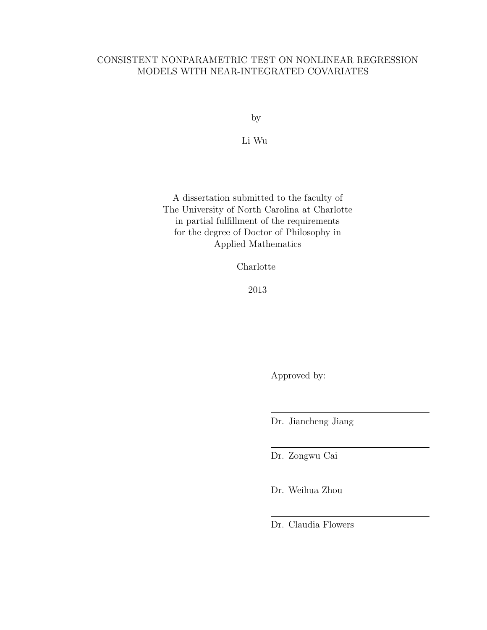# CONSISTENT NONPARAMETRIC TEST ON NONLINEAR REGRESSION MODELS WITH NEAR-INTEGRATED COVARIATES

by

Li Wu

A dissertation submitted to the faculty of The University of North Carolina at Charlotte in partial fulfillment of the requirements for the degree of Doctor of Philosophy in Applied Mathematics

Charlotte

2013

Approved by:

Dr. Jiancheng Jiang

Dr. Zongwu Cai

Dr. Weihua Zhou

Dr. Claudia Flowers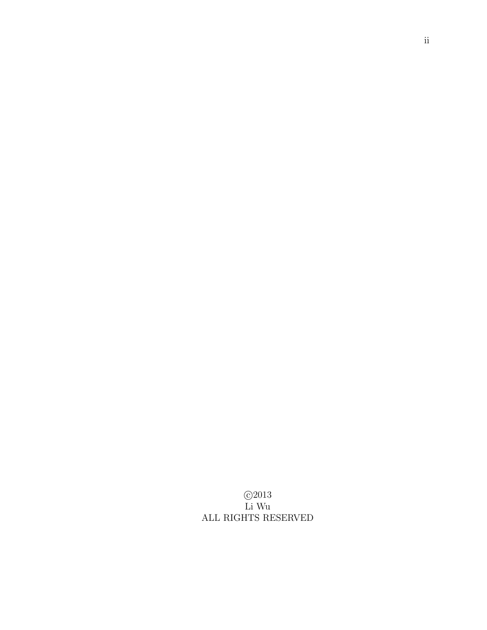c 2013 Li Wu ALL RIGHTS RESERVED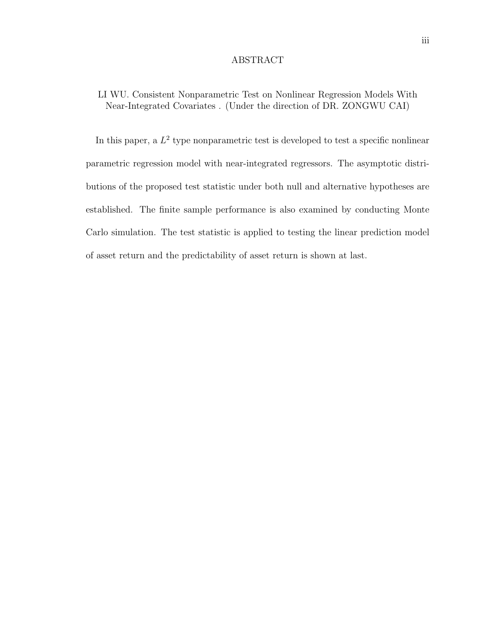#### ABSTRACT

# LI WU. Consistent Nonparametric Test on Nonlinear Regression Models With Near-Integrated Covariates . (Under the direction of DR. ZONGWU CAI)

In this paper, a  $L^2$  type nonparametric test is developed to test a specific nonlinear parametric regression model with near-integrated regressors. The asymptotic distributions of the proposed test statistic under both null and alternative hypotheses are established. The finite sample performance is also examined by conducting Monte Carlo simulation. The test statistic is applied to testing the linear prediction model of asset return and the predictability of asset return is shown at last.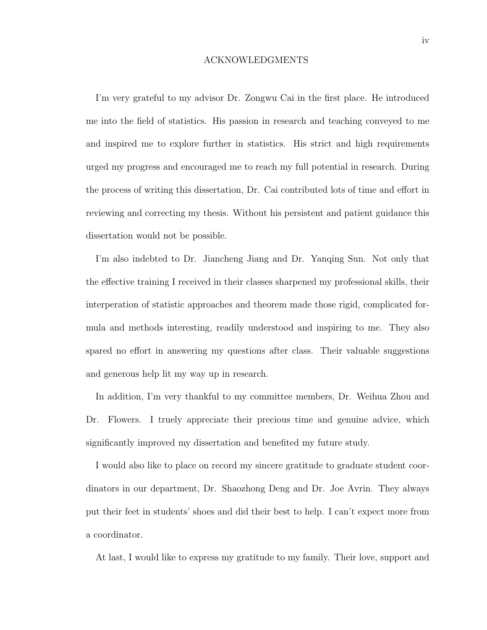#### ACKNOWLEDGMENTS

I'm very grateful to my advisor Dr. Zongwu Cai in the first place. He introduced me into the field of statistics. His passion in research and teaching conveyed to me and inspired me to explore further in statistics. His strict and high requirements urged my progress and encouraged me to reach my full potential in research. During the process of writing this dissertation, Dr. Cai contributed lots of time and effort in reviewing and correcting my thesis. Without his persistent and patient guidance this dissertation would not be possible.

I'm also indebted to Dr. Jiancheng Jiang and Dr. Yanqing Sun. Not only that the effective training I received in their classes sharpened my professional skills, their interperation of statistic approaches and theorem made those rigid, complicated formula and methods interesting, readily understood and inspiring to me. They also spared no effort in answering my questions after class. Their valuable suggestions and generous help lit my way up in research.

In addition, I'm very thankful to my committee members, Dr. Weihua Zhou and Dr. Flowers. I truely appreciate their precious time and genuine advice, which significantly improved my dissertation and benefited my future study.

I would also like to place on record my sincere gratitude to graduate student coordinators in our department, Dr. Shaozhong Deng and Dr. Joe Avrin. They always put their feet in students' shoes and did their best to help. I can't expect more from a coordinator.

At last, I would like to express my gratitude to my family. Their love, support and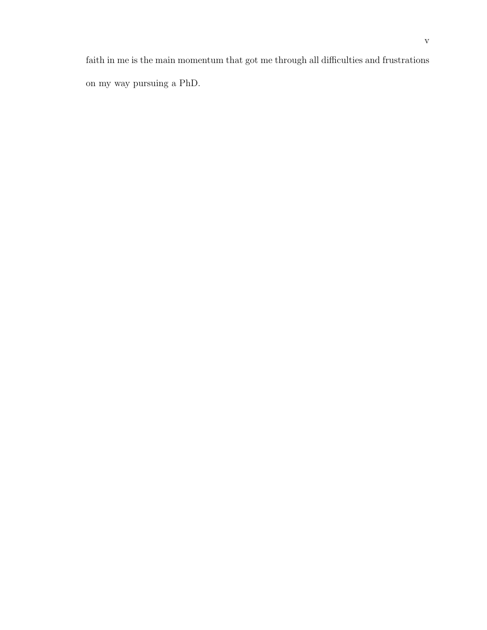faith in me is the main momentum that got me through all difficulties and frustrations on my way pursuing a PhD.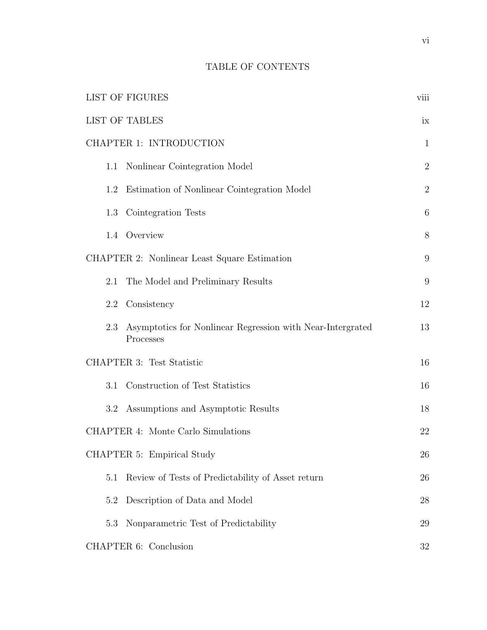# TABLE OF CONTENTS

| <b>LIST OF FIGURES</b>                                                         | viii           |
|--------------------------------------------------------------------------------|----------------|
| <b>LIST OF TABLES</b>                                                          | ix             |
| CHAPTER 1: INTRODUCTION                                                        | $\mathbf{1}$   |
| 1.1 Nonlinear Cointegration Model                                              | $\overline{2}$ |
| Estimation of Nonlinear Cointegration Model<br>1.2                             | $\overline{2}$ |
| 1.3 Cointegration Tests                                                        | 6              |
| 1.4 Overview                                                                   | $8\,$          |
| CHAPTER 2: Nonlinear Least Square Estimation                                   | 9              |
| The Model and Preliminary Results<br>2.1                                       | 9              |
| Consistency<br>2.2                                                             | 12             |
| Asymptotics for Nonlinear Regression with Near-Intergrated<br>2.3<br>Processes | 13             |
| CHAPTER 3: Test Statistic                                                      | 16             |
| Construction of Test Statistics<br>3.1                                         | 16             |
| Assumptions and Asymptotic Results<br>3.2                                      | 18             |
| CHAPTER 4: Monte Carlo Simulations                                             | 22             |
| CHAPTER 5: Empirical Study                                                     | 26             |
| Review of Tests of Predictability of Asset return<br>5.1                       | 26             |
| Description of Data and Model<br>5.2                                           | 28             |
| Nonparametric Test of Predictability<br>5.3                                    | 29             |
| CHAPTER 6: Conclusion                                                          | 32             |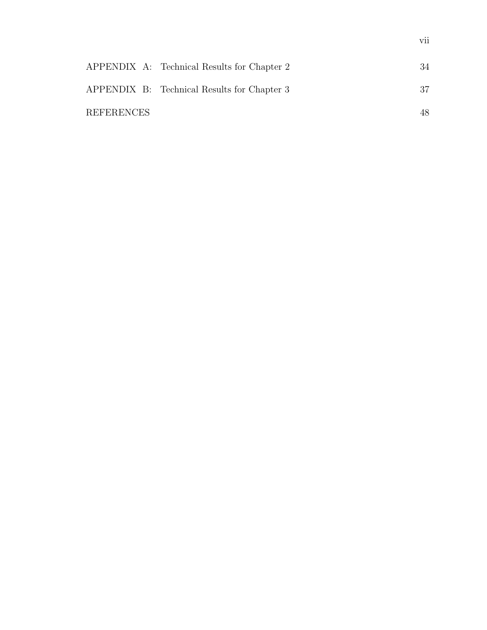|                   | APPENDIX A: Technical Results for Chapter 2 | 34 |
|-------------------|---------------------------------------------|----|
|                   | APPENDIX B: Technical Results for Chapter 3 | 37 |
| <b>REFERENCES</b> |                                             | 48 |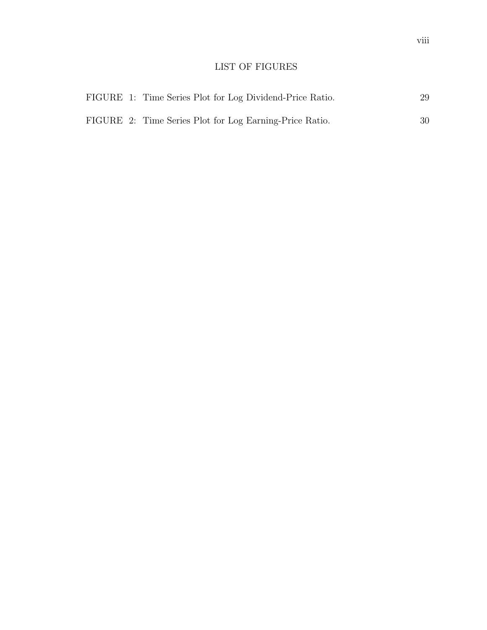# LIST OF FIGURES

|  | FIGURE 1: Time Series Plot for Log Dividend-Price Ratio. | 29 |
|--|----------------------------------------------------------|----|
|  | FIGURE 2: Time Series Plot for Log Earning-Price Ratio.  | 30 |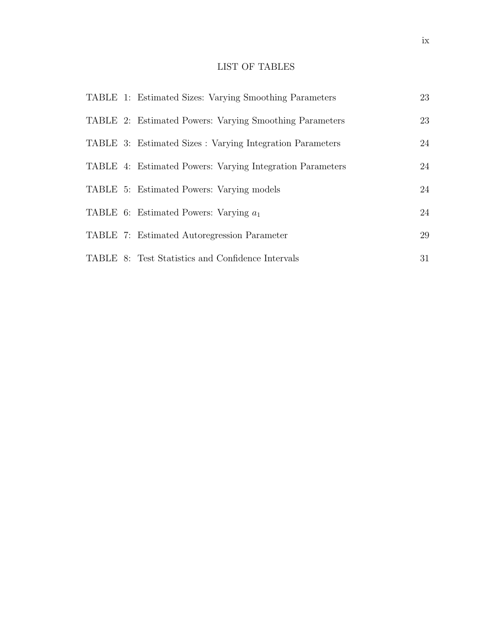# LIST OF TABLES

|  | TABLE 1: Estimated Sizes: Varying Smoothing Parameters    | 23 |
|--|-----------------------------------------------------------|----|
|  | TABLE 2: Estimated Powers: Varying Smoothing Parameters   | 23 |
|  | TABLE 3: Estimated Sizes : Varying Integration Parameters | 24 |
|  | TABLE 4: Estimated Powers: Varying Integration Parameters | 24 |
|  | TABLE 5: Estimated Powers: Varying models                 | 24 |
|  | TABLE 6: Estimated Powers: Varying $a_1$                  | 24 |
|  | TABLE 7: Estimated Autoregression Parameter               | 29 |
|  | TABLE 8: Test Statistics and Confidence Intervals         | 31 |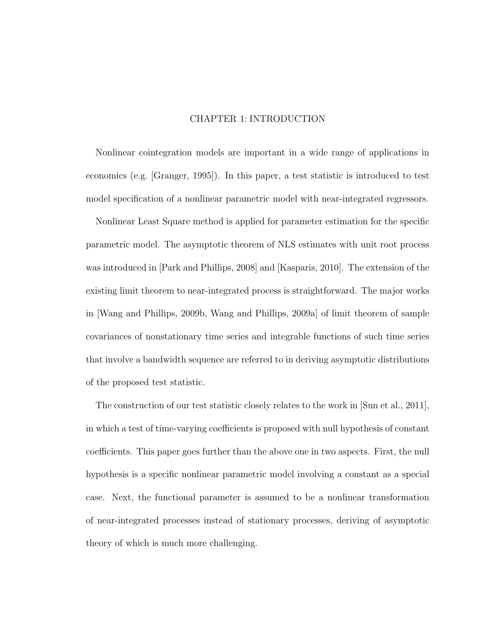# CHAPTER 1: INTRODUCTION

Nonlinear cointegration models are important in a wide range of applications in economics (e.g. [Granger, 1995]). In this paper, a test statistic is introduced to test model specification of a nonlinear parametric model with near-integrated regressors.

Nonlinear Least Square method is applied for parameter estimation for the specific parametric model. The asymptotic theorem of NLS estimates with unit root process was introduced in [Park and Phillips, 2008] and [Kasparis, 2010]. The extension of the existing limit theorem to near-integrated process is straightforward. The major works in [Wang and Phillips, 2009b, Wang and Phillips, 2009a] of limit theorem of sample covariances of nonstationary time series and integrable functions of such time series that involve a bandwidth sequence are referred to in deriving asymptotic distributions of the proposed test statistic.

The construction of our test statistic closely relates to the work in [Sun et al., 2011], in which a test of time-varying coefficients is proposed with null hypothesis of constant coefficients. This paper goes further than the above one in two aspects. First, the null hypothesis is a specific nonlinear parametric model involving a constant as a special case. Next, the functional parameter is assumed to be a nonlinear transformation of near-integrated processes instead of stationary processes, deriving of asymptotic theory of which is much more challenging.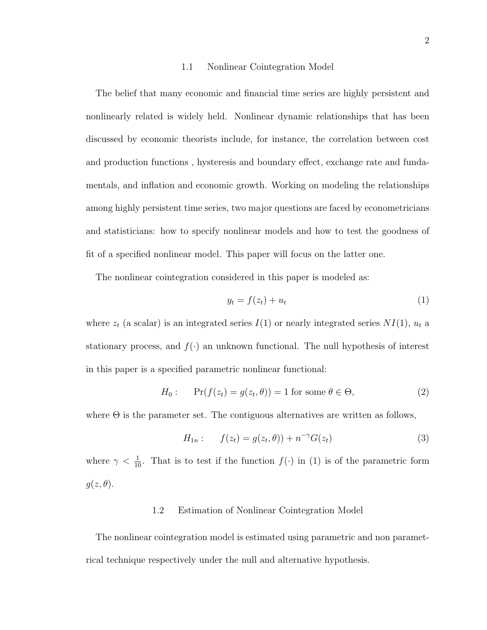#### 1.1 Nonlinear Cointegration Model

The belief that many economic and financial time series are highly persistent and nonlinearly related is widely held. Nonlinear dynamic relationships that has been discussed by economic theorists include, for instance, the correlation between cost and production functions , hysteresis and boundary effect, exchange rate and fundamentals, and inflation and economic growth. Working on modeling the relationships among highly persistent time series, two major questions are faced by econometricians and statisticians: how to specify nonlinear models and how to test the goodness of fit of a specified nonlinear model. This paper will focus on the latter one.

The nonlinear cointegration considered in this paper is modeled as:

$$
y_t = f(z_t) + u_t \tag{1}
$$

where  $z_t$  (a scalar) is an integrated series  $I(1)$  or nearly integrated series  $NI(1)$ ,  $u_t$  a stationary process, and  $f(\cdot)$  an unknown functional. The null hypothesis of interest in this paper is a specified parametric nonlinear functional:

$$
H_0: \quad \Pr(f(z_t) = g(z_t, \theta)) = 1 \text{ for some } \theta \in \Theta,
$$
\n<sup>(2)</sup>

where  $\Theta$  is the parameter set. The contiguous alternatives are written as follows,

$$
H_{1n}: \t f(z_t) = g(z_t, \theta) + n^{-\gamma} G(z_t)
$$
\n(3)

where  $\gamma < \frac{1}{10}$ . That is to test if the function  $f(\cdot)$  in (1) is of the parametric form  $g(z, \theta)$ .

#### 1.2 Estimation of Nonlinear Cointegration Model

The nonlinear cointegration model is estimated using parametric and non parametrical technique respectively under the null and alternative hypothesis.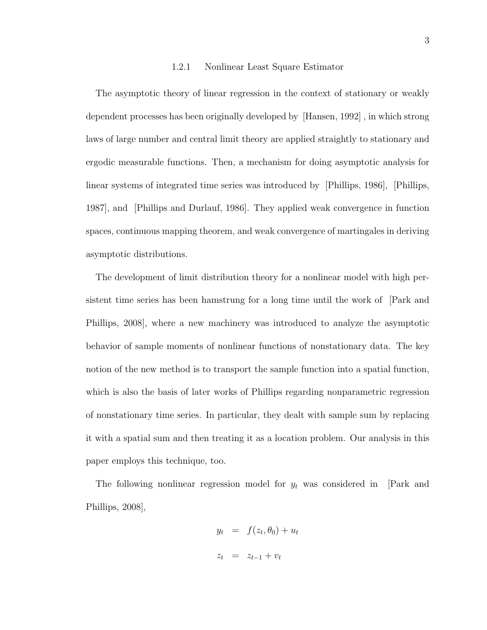#### 1.2.1 Nonlinear Least Square Estimator

The asymptotic theory of linear regression in the context of stationary or weakly dependent processes has been originally developed by [Hansen, 1992] , in which strong laws of large number and central limit theory are applied straightly to stationary and ergodic measurable functions. Then, a mechanism for doing asymptotic analysis for linear systems of integrated time series was introduced by [Phillips, 1986], [Phillips, 1987], and [Phillips and Durlauf, 1986]. They applied weak convergence in function spaces, continuous mapping theorem, and weak convergence of martingales in deriving asymptotic distributions.

The development of limit distribution theory for a nonlinear model with high persistent time series has been hamstrung for a long time until the work of [Park and Phillips, 2008], where a new machinery was introduced to analyze the asymptotic behavior of sample moments of nonlinear functions of nonstationary data. The key notion of the new method is to transport the sample function into a spatial function, which is also the basis of later works of Phillips regarding nonparametric regression of nonstationary time series. In particular, they dealt with sample sum by replacing it with a spatial sum and then treating it as a location problem. Our analysis in this paper employs this technique, too.

The following nonlinear regression model for  $y_t$  was considered in [Park and Phillips, 2008],

$$
y_t = f(z_t, \theta_0) + u_t
$$
  

$$
z_t = z_{t-1} + v_t
$$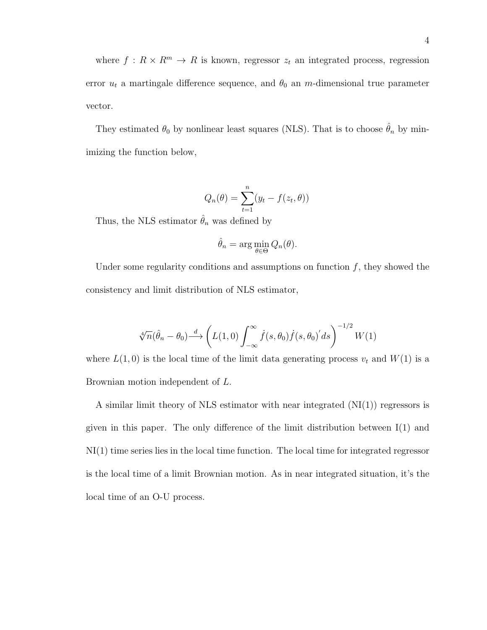where  $f: R \times R^m \to R$  is known, regressor  $z_t$  an integrated process, regression error  $u_t$  a martingale difference sequence, and  $\theta_0$  an m-dimensional true parameter vector.

They estimated  $\theta_0$  by nonlinear least squares (NLS). That is to choose  $\hat{\theta}_n$  by minimizing the function below,

$$
Q_n(\theta) = \sum_{t=1}^n (y_t - f(z_t, \theta))
$$

Thus, the NLS estimator  $\hat{\theta}_n$  was defined by

$$
\hat{\theta}_n = \arg\min_{\theta \in \Theta} Q_n(\theta).
$$

Under some regularity conditions and assumptions on function  $f$ , they showed the consistency and limit distribution of NLS estimator,

$$
\sqrt[4]{n}(\hat{\theta}_n - \theta_0) \stackrel{d}{\longrightarrow} \left( L(1,0) \int_{-\infty}^{\infty} \dot{f}(s,\theta_0) \dot{f}(s,\theta_0)' ds \right)^{-1/2} W(1)
$$

where  $L(1,0)$  is the local time of the limit data generating process  $v_t$  and  $W(1)$  is a Brownian motion independent of L.

A similar limit theory of NLS estimator with near integrated  $(NI(1))$  regressors is given in this paper. The only difference of the limit distribution between I(1) and NI(1) time series lies in the local time function. The local time for integrated regressor is the local time of a limit Brownian motion. As in near integrated situation, it's the local time of an O-U process.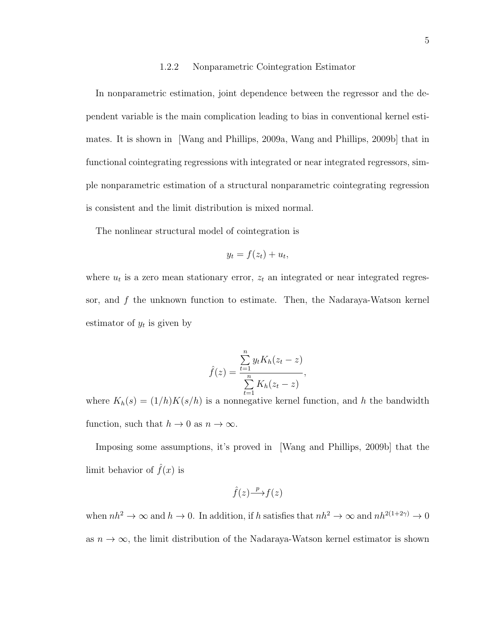## 1.2.2 Nonparametric Cointegration Estimator

In nonparametric estimation, joint dependence between the regressor and the dependent variable is the main complication leading to bias in conventional kernel estimates. It is shown in [Wang and Phillips, 2009a, Wang and Phillips, 2009b] that in functional cointegrating regressions with integrated or near integrated regressors, simple nonparametric estimation of a structural nonparametric cointegrating regression is consistent and the limit distribution is mixed normal.

The nonlinear structural model of cointegration is

$$
y_t = f(z_t) + u_t,
$$

where  $u_t$  is a zero mean stationary error,  $z_t$  an integrated or near integrated regressor, and  $f$  the unknown function to estimate. Then, the Nadaraya-Watson kernel estimator of  $y_t$  is given by

$$
\hat{f}(z) = \frac{\sum_{t=1}^{n} y_t K_h(z_t - z)}{\sum_{t=1}^{n} K_h(z_t - z)},
$$

where  $K_h(s) = (1/h)K(s/h)$  is a nonnegative kernel function, and h the bandwidth function, such that  $h \to 0$  as  $n \to \infty$ .

Imposing some assumptions, it's proved in [Wang and Phillips, 2009b] that the limit behavior of  $\hat{f}(x)$  is

$$
\hat{f}(z) \stackrel{p}{\longrightarrow} f(z)
$$

when  $nh^2 \to \infty$  and  $h \to 0$ . In addition, if h satisfies that  $nh^2 \to \infty$  and  $nh^{2(1+2\gamma)} \to 0$ as  $n \to \infty$ , the limit distribution of the Nadaraya-Watson kernel estimator is shown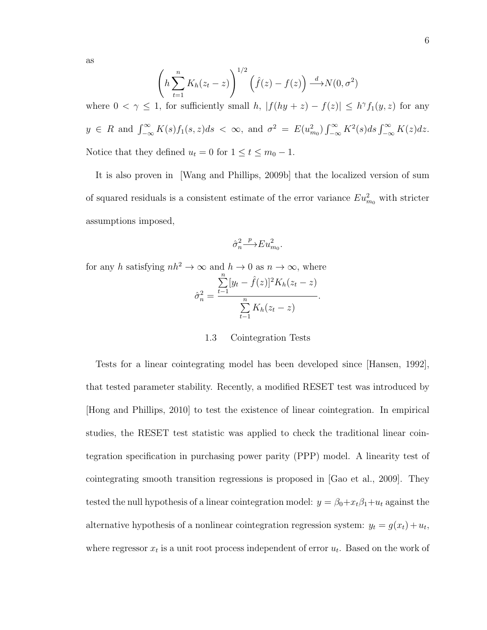as

$$
\left(h\sum_{t=1}^{n} K_h(z_t - z)\right)^{1/2} \left(\hat{f}(z) - f(z)\right) \xrightarrow{d} N(0, \sigma^2)
$$

where  $0 < \gamma \leq 1$ , for sufficiently small h,  $|f(hy + z) - f(z)| \leq h^{\gamma} f_1(y, z)$  for any  $y \in R$  and  $\int_{-\infty}^{\infty} K(s) f_1(s, z) ds < \infty$ , and  $\sigma^2 = E(u_{m_0}^2) \int_{-\infty}^{\infty} K^2(s) ds \int_{-\infty}^{\infty} K(z) dz$ . Notice that they defined  $u_t = 0$  for  $1 \le t \le m_0 - 1$ .

It is also proven in [Wang and Phillips, 2009b] that the localized version of sum of squared residuals is a consistent estimate of the error variance  $Eu_{m_0}^2$  with stricter assumptions imposed,

$$
\hat{\sigma}_n^2 {\stackrel{p}{\longrightarrow}} Eu^2_{m_0}.
$$

for any h satisfying  $nh^2 \to \infty$  and  $h \to 0$  as  $n \to \infty$ , where  $\hat{\sigma}_n^2 =$  $\sum_{n=1}^{\infty}$  $t-1$  $[y_t - \hat{f}(z)]^2 K_h(z_t - z)$  $\sqrt{\frac{n}{n}}$  $t-1$  $K_h(z_t-z)$ .

#### 1.3 Cointegration Tests

Tests for a linear cointegrating model has been developed since [Hansen, 1992], that tested parameter stability. Recently, a modified RESET test was introduced by [Hong and Phillips, 2010] to test the existence of linear cointegration. In empirical studies, the RESET test statistic was applied to check the traditional linear cointegration specification in purchasing power parity (PPP) model. A linearity test of cointegrating smooth transition regressions is proposed in [Gao et al., 2009]. They tested the null hypothesis of a linear cointegration model:  $y = \beta_0 + x_t \beta_1 + u_t$  against the alternative hypothesis of a nonlinear cointegration regression system:  $y_t = g(x_t) + u_t$ , where regressor  $x_t$  is a unit root process independent of error  $u_t$ . Based on the work of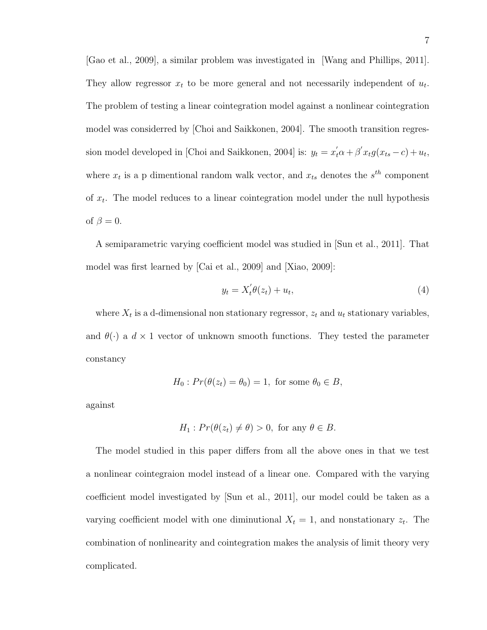[Gao et al., 2009], a similar problem was investigated in [Wang and Phillips, 2011]. They allow regressor  $x_t$  to be more general and not necessarily independent of  $u_t$ . The problem of testing a linear cointegration model against a nonlinear cointegration model was considerred by [Choi and Saikkonen, 2004]. The smooth transition regression model developed in [Choi and Saikkonen, 2004] is:  $y_t = x_t' \alpha + \beta' x_t g(x_{ts} - c) + u_t$ , where  $x_t$  is a p dimentional random walk vector, and  $x_{ts}$  denotes the  $s^{th}$  component of  $x_t$ . The model reduces to a linear cointegration model under the null hypothesis of  $\beta = 0$ .

A semiparametric varying coefficient model was studied in [Sun et al., 2011]. That model was first learned by [Cai et al., 2009] and [Xiao, 2009]:

$$
y_t = X_t' \theta(z_t) + u_t,\tag{4}
$$

where  $X_t$  is a d-dimensional non stationary regressor,  $z_t$  and  $u_t$  stationary variables, and  $\theta(\cdot)$  a  $d \times 1$  vector of unknown smooth functions. They tested the parameter constancy

$$
H_0: Pr(\theta(z_t) = \theta_0) = 1, \text{ for some } \theta_0 \in B,
$$

against

$$
H_1: Pr(\theta(z_t) \neq \theta) > 0, \text{ for any } \theta \in B.
$$

The model studied in this paper differs from all the above ones in that we test a nonlinear cointegraion model instead of a linear one. Compared with the varying coefficient model investigated by [Sun et al., 2011], our model could be taken as a varying coefficient model with one diminutional  $X_t = 1$ , and nonstationary  $z_t$ . The combination of nonlinearity and cointegration makes the analysis of limit theory very complicated.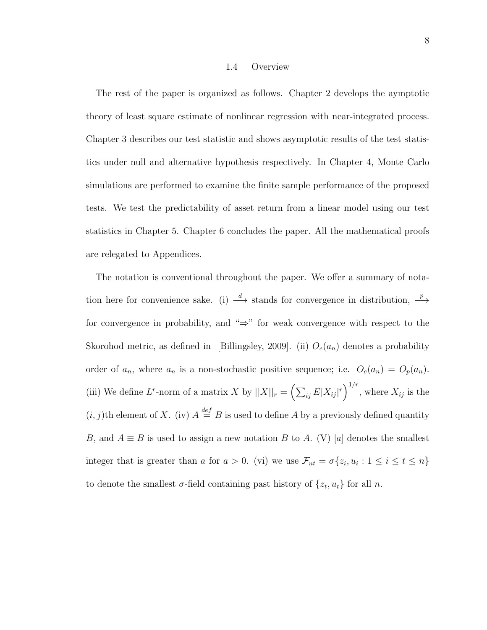#### 1.4 Overview

The rest of the paper is organized as follows. Chapter 2 develops the aymptotic theory of least square estimate of nonlinear regression with near-integrated process. Chapter 3 describes our test statistic and shows asymptotic results of the test statistics under null and alternative hypothesis respectively. In Chapter 4, Monte Carlo simulations are performed to examine the finite sample performance of the proposed tests. We test the predictability of asset return from a linear model using our test statistics in Chapter 5. Chapter 6 concludes the paper. All the mathematical proofs are relegated to Appendices.

The notation is conventional throughout the paper. We offer a summary of notation here for convenience sake. (i)  $\stackrel{d}{\longrightarrow}$  stands for convergence in distribution,  $\stackrel{p}{\longrightarrow}$ for convergence in probability, and "⇒" for weak convergence with respect to the Skorohod metric, as defined in [Billingsley, 2009]. (ii)  $O_e(a_n)$  denotes a probability order of  $a_n$ , where  $a_n$  is a non-stochastic positive sequence; i.e.  $O_e(a_n) = O_p(a_n)$ . (iii) We define L<sup>r</sup>-norm of a matrix X by  $||X||_r = \left(\sum_{ij} E|X_{ij}|^r\right)^{1/r}$ , where  $X_{ij}$  is the  $(i, j)$ th element of X. (iv)  $A \stackrel{\text{def}}{=} B$  is used to define A by a previously defined quantity B, and  $A \equiv B$  is used to assign a new notation B to A. (V) [a] denotes the smallest integer that is greater than a for  $a > 0$ . (vi) we use  $\mathcal{F}_{nt} = \sigma\{z_i, u_i : 1 \leq i \leq t \leq n\}$ to denote the smallest  $\sigma$ -field containing past history of  $\{z_t, u_t\}$  for all n.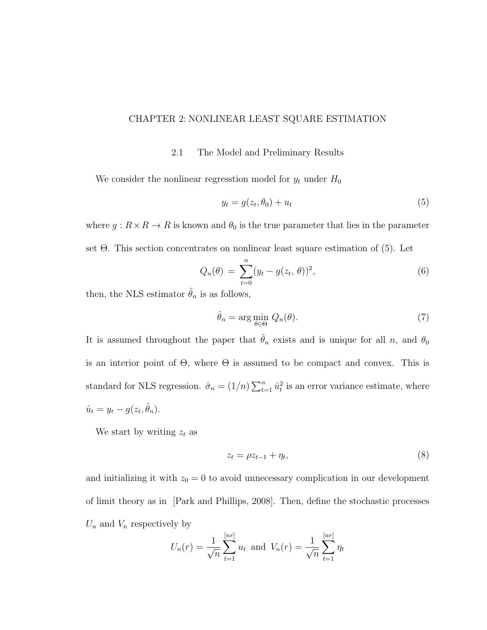## CHAPTER 2: NONLINEAR LEAST SQUARE ESTIMATION

2.1 The Model and Preliminary Results

We consider the nonlinear regresstion model for  $y_t$  under  $H_0$ 

$$
y_t = g(z_t, \theta_0) + u_t \tag{5}
$$

where  $g: R \times R \to R$  is known and  $\theta_0$  is the true parameter that lies in the parameter set Θ. This section concentrates on nonlinear least square estimation of (5). Let

$$
Q_n(\theta) = \sum_{t=0}^n (y_t - g(z_t, \theta))^2,
$$
\n(6)

then, the NLS estimator  $\hat{\theta}_n$  is as follows,

$$
\hat{\theta}_n = \arg\min_{\theta \in \Theta} \ Q_n(\theta). \tag{7}
$$

It is assumed throughout the paper that  $\hat{\theta}_n$  exists and is unique for all n, and  $\theta_0$ is an interior point of  $\Theta$ , where  $\Theta$  is assumed to be compact and convex. This is standard for NLS regression.  $\hat{\sigma}_n = (1/n) \sum_{t=1}^n \hat{u}_t^2$  is an error variance estimate, where  $\hat{u}_t = y_t - g(z_t, \hat{\theta}_n).$ 

We start by writing  $z_t$  as

$$
z_t = \rho z_{t-1} + \eta_t,\tag{8}
$$

and initializing it with  $z_0 = 0$  to avoid unnecessary complication in our development of limit theory as in [Park and Phillips, 2008]. Then, define the stochastic processes  $U_n$  and  $V_n$  respectively by

$$
U_n(r) = \frac{1}{\sqrt{n}} \sum_{t=1}^{[nr]} u_t \text{ and } V_n(r) = \frac{1}{\sqrt{n}} \sum_{t=1}^{[nr]} \eta_t
$$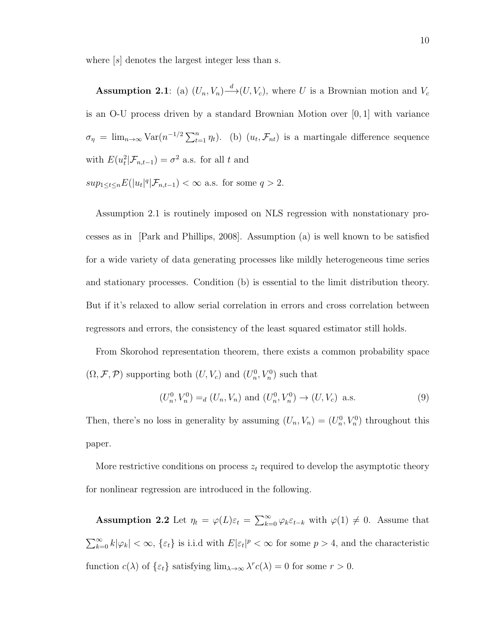where  $[s]$  denotes the largest integer less than s.

**Assumption 2.1**: (a)  $(U_n, V_n) \xrightarrow{d} (U, V_c)$ , where U is a Brownian motion and  $V_c$ is an O-U process driven by a standard Brownian Motion over [0, 1] with variance  $\sigma_{\eta} = \lim_{n \to \infty} \text{Var}(n^{-1/2} \sum_{t=1}^{n} \eta_t)$ . (b)  $(u_t, \mathcal{F}_{nt})$  is a martingale difference sequence with  $E(u_t^2 | \mathcal{F}_{n,t-1}) = \sigma^2$  a.s. for all t and

 $sup_{1 \leq t \leq n} E(|u_t|^q | \mathcal{F}_{n,t-1}) < \infty$  a.s. for some  $q > 2$ .

Assumption 2.1 is routinely imposed on NLS regression with nonstationary processes as in [Park and Phillips, 2008]. Assumption (a) is well known to be satisfied for a wide variety of data generating processes like mildly heterogeneous time series and stationary processes. Condition (b) is essential to the limit distribution theory. But if it's relaxed to allow serial correlation in errors and cross correlation between regressors and errors, the consistency of the least squared estimator still holds.

From Skorohod representation theorem, there exists a common probability space  $(\Omega, \mathcal{F}, \mathcal{P})$  supporting both  $(U, V_c)$  and  $(U_n^0, V_n^0)$  such that

$$
(U_n^0, V_n^0) =_d (U_n, V_n) \text{ and } (U_n^0, V_n^0) \to (U, V_c) \text{ a.s.}
$$
 (9)

Then, there's no loss in generality by assuming  $(U_n, V_n) = (U_n^0, V_n^0)$  throughout this paper.

More restrictive conditions on process  $z_t$  required to develop the asymptotic theory for nonlinear regression are introduced in the following.

**Assumption 2.2** Let  $\eta_t = \varphi(L)\varepsilon_t = \sum_{k=0}^{\infty} \varphi_k \varepsilon_{t-k}$  with  $\varphi(1) \neq 0$ . Assume that  $\sum_{k=0}^{\infty} k |\varphi_k| < \infty$ ,  $\{\varepsilon_t\}$  is i.i.d with  $E|\varepsilon_t|^p < \infty$  for some  $p > 4$ , and the characteristic function  $c(\lambda)$  of  $\{\varepsilon_t\}$  satisfying  $\lim_{\lambda \to \infty} \lambda^r c(\lambda) = 0$  for some  $r > 0$ .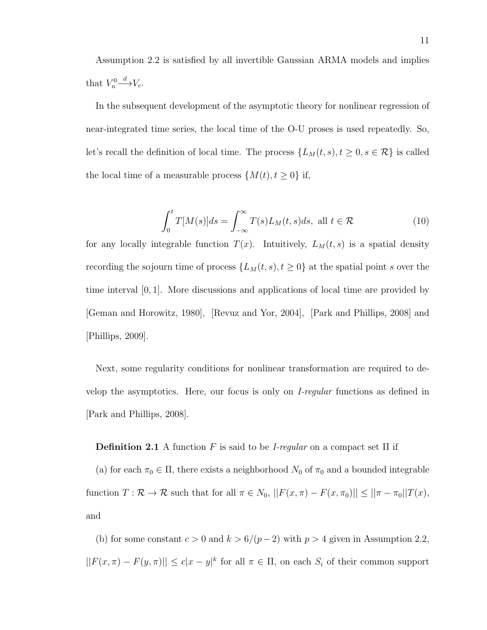Assumption 2.2 is satisfied by all invertible Gaussian ARMA models and implies that  $V_n^0$  $\stackrel{d}{\longrightarrow}V_c.$ 

In the subsequent development of the asymptotic theory for nonlinear regression of near-integrated time series, the local time of the O-U proses is used repeatedly. So, let's recall the definition of local time. The process  $\{L_M(t, s), t \ge 0, s \in \mathcal{R}\}\)$  is called the local time of a measurable process  $\{M(t), t\geq 0\}$  if,

$$
\int_0^t T[M(s)]ds = \int_{-\infty}^\infty T(s)L_M(t,s)ds, \text{ all } t \in \mathcal{R}
$$
 (10)

for any locally integrable function  $T(x)$ . Intuitively,  $L_M(t, s)$  is a spatial density recording the sojourn time of process  $\{L_M(t, s), t \geq 0\}$  at the spatial point s over the time interval [0, 1]. More discussions and applications of local time are provided by [Geman and Horowitz, 1980], [Revuz and Yor, 2004], [Park and Phillips, 2008] and [Phillips, 2009].

Next, some regularity conditions for nonlinear transformation are required to develop the asymptotics. Here, our focus is only on I-regular functions as defined in [Park and Phillips, 2008].

**Definition 2.1** A function F is said to be *I-regular* on a compact set  $\Pi$  if

(a) for each  $\pi_0 \in \Pi$ , there exists a neighborhood  $N_0$  of  $\pi_0$  and a bounded integrable function  $T : \mathcal{R} \to \mathcal{R}$  such that for all  $\pi \in N_0$ ,  $||F(x, \pi) - F(x, \pi_0)|| \le ||\pi - \pi_0||T(x)$ , and

(b) for some constant  $c > 0$  and  $k > 6/(p-2)$  with  $p > 4$  given in Assumption 2.2,  $||F(x, \pi) - F(y, \pi)|| \leq c|x - y|^k$  for all  $\pi \in \Pi$ , on each  $S_i$  of their common support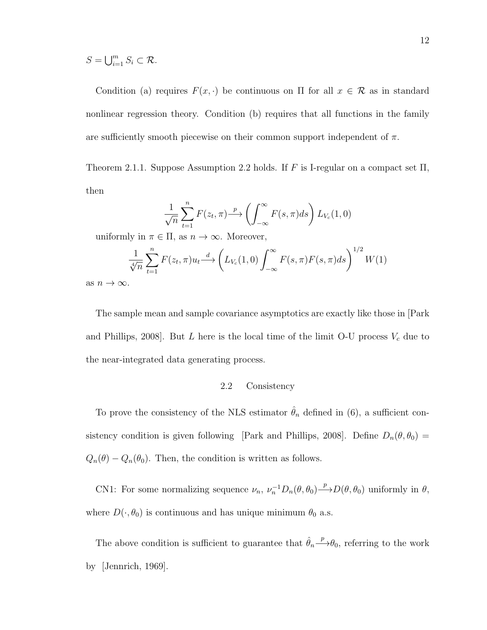$$
S=\bigcup_{i=1}^m S_i\subset\mathcal{R}.
$$

Condition (a) requires  $F(x, \cdot)$  be continuous on  $\Pi$  for all  $x \in \mathcal{R}$  as in standard nonlinear regression theory. Condition (b) requires that all functions in the family are sufficiently smooth piecewise on their common support independent of  $\pi$ .

Theorem 2.1.1. Suppose Assumption 2.2 holds. If F is I-regular on a compact set  $\Pi$ , then

$$
\frac{1}{\sqrt{n}}\sum_{t=1}^{n}F(z_t,\pi)\stackrel{p}{\longrightarrow}\left(\int_{-\infty}^{\infty}F(s,\pi)ds\right)L_{V_c}(1,0)
$$

uniformly in  $\pi \in \Pi$ , as  $n \to \infty$ . Moreover,

$$
\frac{1}{\sqrt[4]{n}}\sum_{t=1}^{n}F(z_t,\pi)u_t \stackrel{d}{\longrightarrow} \left(L_{V_c}(1,0)\int_{-\infty}^{\infty}F(s,\pi)F(s,\pi)ds\right)^{1/2}W(1)
$$

as  $n \to \infty$ .

The sample mean and sample covariance asymptotics are exactly like those in [Park and Phillips, 2008]. But  $L$  here is the local time of the limit O-U process  $V_c$  due to the near-integrated data generating process.

# 2.2 Consistency

To prove the consistency of the NLS estimator  $\hat{\theta}_n$  defined in (6), a sufficient consistency condition is given following [Park and Phillips, 2008]. Define  $D_n(\theta, \theta_0)$  =  $Q_n(\theta) - Q_n(\theta_0)$ . Then, the condition is written as follows.

CN1: For some normalizing sequence  $\nu_n$ ,  $\nu_n^{-1}D_n(\theta, \theta_0) \stackrel{p}{\longrightarrow} D(\theta, \theta_0)$  uniformly in  $\theta$ , where  $D(\cdot, \theta_0)$  is continuous and has unique minimum  $\theta_0$  a.s.

The above condition is sufficient to guarantee that  $\hat{\theta}_n \stackrel{p}{\longrightarrow} \theta_0$ , referring to the work by [Jennrich, 1969].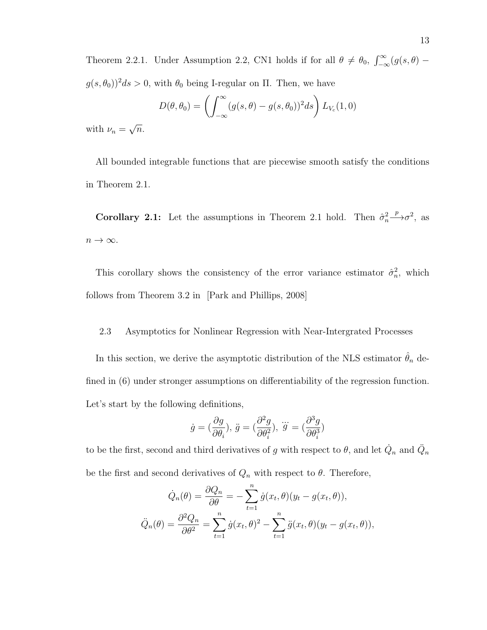Theorem 2.2.1. Under Assumption 2.2, CN1 holds if for all  $\theta \neq \theta_0$ ,  $\int_{-\infty}^{\infty} (g(s, \theta)$  $g(s, \theta_0))^2 ds > 0$ , with  $\theta_0$  being I-regular on  $\Pi$ . Then, we have

$$
D(\theta, \theta_0) = \left( \int_{-\infty}^{\infty} (g(s, \theta) - g(s, \theta_0))^2 ds \right) L_{V_c}(1, 0)
$$

with  $\nu_n =$ √  $\overline{n}$ .

All bounded integrable functions that are piecewise smooth satisfy the conditions in Theorem 2.1.

**Corollary 2.1:** Let the assumptions in Theorem 2.1 hold. Then  $\hat{\sigma}_n^2$  $\stackrel{p}{\longrightarrow} \sigma^2$ , as  $n \to \infty$ .

This corollary shows the consistency of the error variance estimator  $\hat{\sigma}_n^2$ , which follows from Theorem 3.2 in [Park and Phillips, 2008]

#### 2.3 Asymptotics for Nonlinear Regression with Near-Intergrated Processes

In this section, we derive the asymptotic distribution of the NLS estimator  $\hat{\theta}_n$  defined in  $(6)$  under stronger assumptions on differentiability of the regression function. Let's start by the following definitions,

$$
\dot{g}=(\frac{\partial g}{\partial \theta_i}),\,\ddot{g}=(\frac{\partial^2 g}{\partial \theta_i^2}),\,\,\dddot{g}=(\frac{\partial^3 g}{\partial \theta_i^3})
$$

to be the first, second and third derivatives of g with respect to  $\theta$ , and let  $\dot{Q}_n$  and  $\ddot{Q}_n$ be the first and second derivatives of  $Q_n$  with respect to  $\theta$ . Therefore,

$$
\dot{Q}_n(\theta) = \frac{\partial Q_n}{\partial \theta} = -\sum_{t=1}^n \dot{g}(x_t, \theta)(y_t - g(x_t, \theta)),
$$

$$
\ddot{Q}_n(\theta) = \frac{\partial^2 Q_n}{\partial \theta^2} = \sum_{t=1}^n \dot{g}(x_t, \theta)^2 - \sum_{t=1}^n \ddot{g}(x_t, \theta)(y_t - g(x_t, \theta)),
$$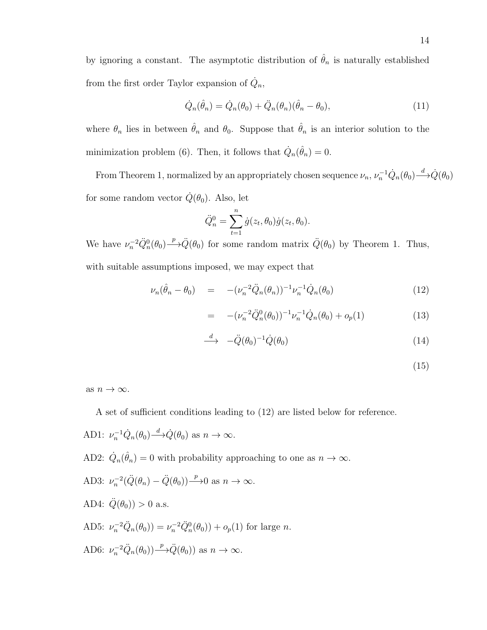by ignoring a constant. The asymptotic distribution of  $\hat{\theta}_n$  is naturally established from the first order Taylor expansion of  $\dot{Q}_n$ ,

$$
\dot{Q}_n(\hat{\theta}_n) = \dot{Q}_n(\theta_0) + \ddot{Q}_n(\theta_n)(\hat{\theta}_n - \theta_0),\tag{11}
$$

where  $\theta_n$  lies in between  $\hat{\theta}_n$  and  $\theta_0$ . Suppose that  $\hat{\theta}_n$  is an interior solution to the minimization problem (6). Then, it follows that  $\dot{Q}_n(\hat{\theta}_n) = 0$ .

From Theorem 1, normalized by an appropriately chosen sequence  $\nu_n$ ,  $\nu_n^{-1} \dot{Q}_n(\theta_0) \stackrel{d}{\longrightarrow} \dot{Q}(\theta_0)$ for some random vector  $\dot{Q}(\theta_0)$ . Also, let

$$
\ddot{Q}_n^0 = \sum_{t=1}^n \dot{g}(z_t, \theta_0) \dot{g}(z_t, \theta_0).
$$

We have  $\nu_n^{-2} \ddot{Q}_n^0(\theta_0) \stackrel{p}{\longrightarrow} \ddot{Q}(\theta_0)$  for some random matrix  $\ddot{Q}(\theta_0)$  by Theorem 1. Thus, with suitable assumptions imposed, we may expect that

$$
\nu_n(\hat{\theta}_n - \theta_0) = -(\nu_n^{-2} \ddot{Q}_n(\theta_n))^{-1} \nu_n^{-1} \dot{Q}_n(\theta_0)
$$
\n(12)

$$
= -(\nu_n^{-2} \ddot{Q}_n^0(\theta_0))^{-1} \nu_n^{-1} \dot{Q}_n(\theta_0) + o_p(1) \tag{13}
$$

$$
\xrightarrow{d} \quad -\ddot{Q}(\theta_0)^{-1} \dot{Q}(\theta_0) \tag{14}
$$

$$
(15)
$$

as  $n \to \infty$ .

A set of sufficient conditions leading to (12) are listed below for reference.

AD1:  $\nu_n^{-1} \dot{Q}_n(\theta_0) \stackrel{d}{\longrightarrow} \dot{Q}(\theta_0)$  as  $n \to \infty$ .

AD2:  $\dot{Q}_n(\hat{\theta}_n) = 0$  with probability approaching to one as  $n \to \infty$ .

AD3: 
$$
\nu_n^{-2}(\ddot{Q}(\theta_n) - \ddot{Q}(\theta_0)) \stackrel{p}{\longrightarrow} 0
$$
 as  $n \to \infty$ .

AD4: 
$$
\ddot{Q}(\theta_0)
$$
 > 0 a.s.

AD5:  $\nu_n^{-2} \ddot{Q}_n(\theta_0) = \nu_n^{-2} \ddot{Q}_n^0(\theta_0) + o_p(1)$  for large *n*. AD6:  $\nu_n^{-2} \ddot{Q}_n(\theta_0)$   $\rightarrow$   $\ddot{Q}(\theta_0)$  as  $n \rightarrow \infty$ .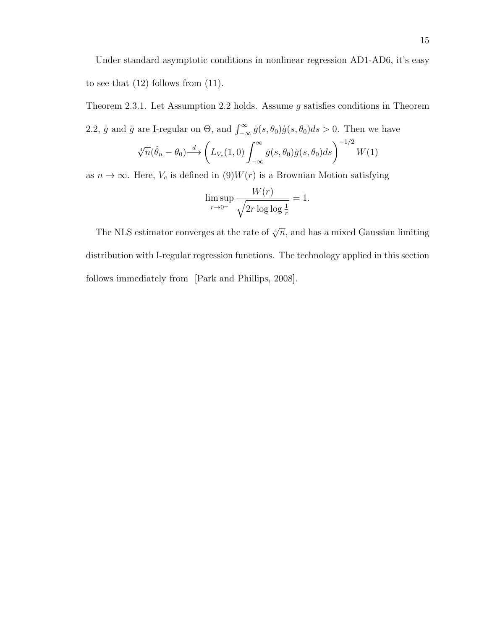Theorem 2.3.1. Let Assumption 2.2 holds. Assume  $g$  satisfies conditions in Theorem 2.2,  $\dot{g}$  and  $\ddot{g}$  are I-regular on  $\Theta$ , and  $\int_{-\infty}^{\infty} \dot{g}(s, \theta_0) \dot{g}(s, \theta_0) ds > 0$ . Then we have  $\sqrt[4]{n}(\hat{\theta}_n - \theta_0) \stackrel{d}{\longrightarrow} \left( L_{V_c}(1,0) \right)^{\infty}$  $\dot{g}(s,\theta_0)\dot{g}(s,\theta_0)ds\bigg)^{-1/2}W(1)$ 

−∞

as  $n \to \infty$ . Here,  $V_c$  is defined in  $(9)W(r)$  is a Brownian Motion satisfying

$$
\limsup_{r \to 0^+} \frac{W(r)}{\sqrt{2r \log \log \frac{1}{r}}} = 1.
$$

The NLS estimator converges at the rate of  $\sqrt[4]{n}$ , and has a mixed Gaussian limiting distribution with I-regular regression functions. The technology applied in this section follows immediately from [Park and Phillips, 2008].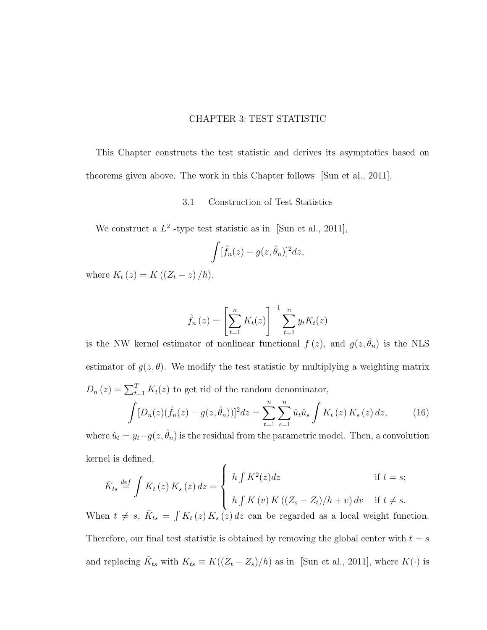## CHAPTER 3: TEST STATISTIC

This Chapter constructs the test statistic and derives its asymptotics based on theorems given above. The work in this Chapter follows [Sun et al., 2011].

# 3.1 Construction of Test Statistics

We construct a  $L^2$ -type test statistic as in [Sun et al., 2011],

$$
\int [\hat{f}_n(z) - g(z, \hat{\theta}_n)]^2 dz,
$$

where  $K_t(z) = K((Z_t - z)/h)$ .

$$
\hat{f}_n(z) = \left[ \sum_{t=1}^n K_t(z) \right]^{-1} \sum_{t=1}^n y_t K_t(z)
$$

is the NW kernel estimator of nonlinear functional  $f(z)$ , and  $g(z, \hat{\theta}_n)$  is the NLS estimator of  $g(z, \theta)$ . We modify the test statistic by multiplying a weighting matrix  $D_n(z) = \sum_{t=1}^T K_t(z)$  to get rid of the random denominator,  $\int [D_n(z)(\hat{f}_n(z) - q(z, \hat{\theta}_n))]^2 dz = \sum_{n=0}^n \sum_{n=0}^n \hat{u}_n \hat{u}_n$ 

$$
\int [D_n(z)(\hat{f}_n(z) - g(z, \hat{\theta}_n))]^2 dz = \sum_{t=1}^{\infty} \sum_{s=1}^{\infty} \hat{u}_t \hat{u}_s \int K_t(z) K_s(z) dz, \tag{16}
$$

where  $\hat{u}_t = y_t - g(z, \hat{\theta}_n)$  is the residual from the parametric model. Then, a convolution kernel is defined,  $\epsilon$ 

$$
\bar{K}_{ts} \stackrel{\text{def}}{=} \int K_t(z) \, K_s(z) \, dz = \begin{cases} h \int K^2(z) dz & \text{if } t = s; \\ h \int K(v) \, K\left( (Z_s - Z_t) / h + v \right) dv & \text{if } t \neq s. \end{cases}
$$

When  $t \neq s$ ,  $\bar{K}_{ts} = \int K_t(z) K_s(z) dz$  can be regarded as a local weight function. Therefore, our final test statistic is obtained by removing the global center with  $t = s$ and replacing  $\bar{K}_{ts}$  with  $K_{ts} \equiv K((Z_t - Z_s)/h)$  as in [Sun et al., 2011], where  $K(\cdot)$  is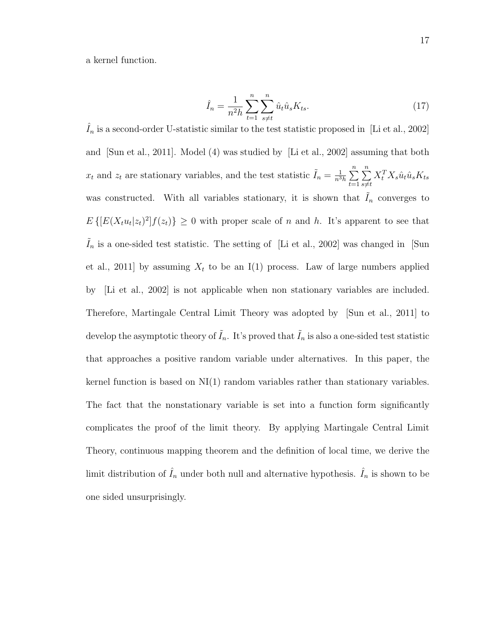a kernel function.

$$
\hat{I}_n = \frac{1}{n^2 h} \sum_{t=1}^n \sum_{s \neq t}^n \hat{u}_t \hat{u}_s K_{ts}.
$$
\n(17)

 $\hat{I}_n$  is a second-order U-statistic similar to the test statistic proposed in [Li et al., 2002] and [Sun et al., 2011]. Model (4) was studied by [Li et al., 2002] assuming that both  $x_t$  and  $z_t$  are stationary variables, and the test statistic  $\tilde{I}_n = \frac{1}{n^3}$  $\frac{1}{n^3h}\sum_{n=1}^n$  $t=1$  $\sum_{n=1}^{\infty}$  $s{\neq}t$  $X_t^T X_s \hat{u}_t \hat{u}_s K_{ts}$ was constructed. With all variables stationary, it is shown that  $\tilde{I}_n$  converges to  $E\left\{[E(X_t u_t|z_t)^2]f(z_t)\right\} \geq 0$  with proper scale of n and h. It's apparent to see that  $I_n$  is a one-sided test statistic. The setting of [Li et al., 2002] was changed in [Sun et al., 2011] by assuming  $X_t$  to be an I(1) process. Law of large numbers applied by [Li et al., 2002] is not applicable when non stationary variables are included. Therefore, Martingale Central Limit Theory was adopted by [Sun et al., 2011] to develop the asymptotic theory of  $\tilde{I}_n$ . It's proved that  $\tilde{I}_n$  is also a one-sided test statistic that approaches a positive random variable under alternatives. In this paper, the kernel function is based on  $N(1)$  random variables rather than stationary variables. The fact that the nonstationary variable is set into a function form significantly complicates the proof of the limit theory. By applying Martingale Central Limit Theory, continuous mapping theorem and the definition of local time, we derive the limit distribution of  $\hat{I}_n$  under both null and alternative hypothesis.  $\hat{I}_n$  is shown to be one sided unsurprisingly.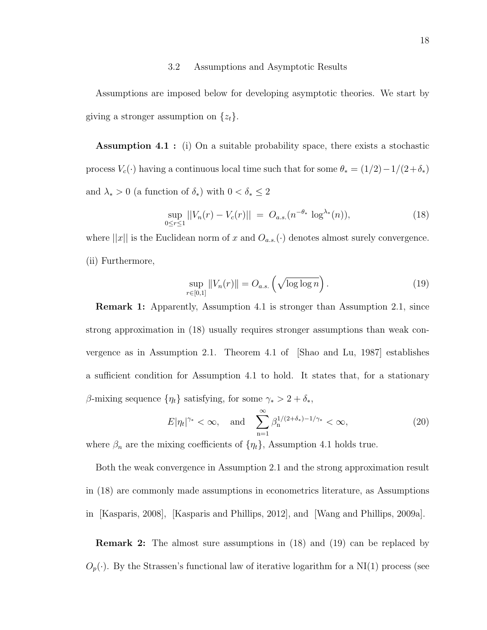#### 3.2 Assumptions and Asymptotic Results

Assumptions are imposed below for developing asymptotic theories. We start by giving a stronger assumption on  $\{z_t\}.$ 

Assumption 4.1 : (i) On a suitable probability space, there exists a stochastic process  $V_c(\cdot)$  having a continuous local time such that for some  $\theta_* = (1/2) - 1/(2+\delta_*)$ and  $\lambda_* > 0$  (a function of  $\delta_*$ ) with  $0 < \delta_* \leq 2$ 

$$
\sup_{0 \le r \le 1} ||V_n(r) - V_c(r)|| = O_{a.s.}(n^{-\theta_*} \log^{\lambda_*}(n)), \tag{18}
$$

where  $||x||$  is the Euclidean norm of x and  $O_{a.s.}(\cdot)$  denotes almost surely convergence. (ii) Furthermore,

$$
\sup_{r \in [0,1]} \|V_n(r)\| = O_{a.s.}\left(\sqrt{\log \log n}\right). \tag{19}
$$

Remark 1: Apparently, Assumption 4.1 is stronger than Assumption 2.1, since strong approximation in (18) usually requires stronger assumptions than weak convergence as in Assumption 2.1. Theorem 4.1 of [Shao and Lu, 1987] establishes a sufficient condition for Assumption 4.1 to hold. It states that, for a stationary β-mixing sequence  $\{\eta_t\}$  satisfying, for some  $\gamma_* > 2 + \delta_*$ ,

$$
E|\eta_t|^{\gamma_*} < \infty, \quad \text{and} \quad \sum_{n=1}^{\infty} \beta_n^{1/(2+\delta_*)-1/\gamma_*} < \infty,\tag{20}
$$

where  $\beta_n$  are the mixing coefficients of  $\{\eta_t\}$ , Assumption 4.1 holds true.

Both the weak convergence in Assumption 2.1 and the strong approximation result in (18) are commonly made assumptions in econometrics literature, as Assumptions in [Kasparis, 2008], [Kasparis and Phillips, 2012], and [Wang and Phillips, 2009a].

Remark 2: The almost sure assumptions in (18) and (19) can be replaced by  $O_p(\cdot)$ . By the Strassen's functional law of iterative logarithm for a NI(1) process (see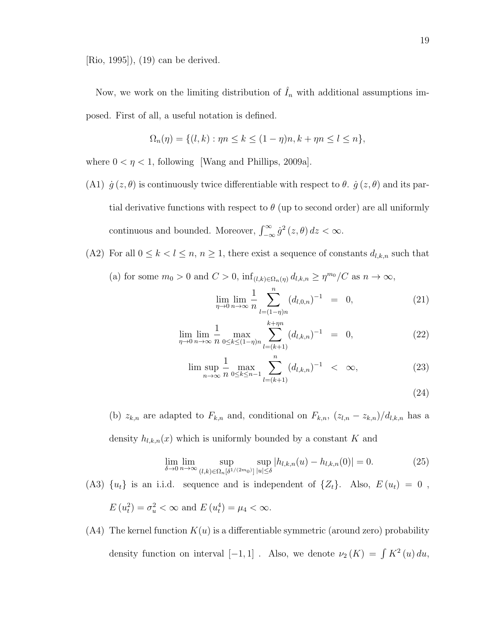[Rio, 1995]), (19) can be derived.

Now, we work on the limiting distribution of  $\hat{I}_n$  with additional assumptions imposed. First of all, a useful notation is defined.

$$
\Omega_n(\eta) = \{ (l, k) : \eta n \le k \le (1 - \eta)n, k + \eta n \le l \le n \},\
$$

where  $0 < \eta < 1$ , following [Wang and Phillips, 2009a].

(A1)  $\dot{g}(z,\theta)$  is continuously twice differentiable with respect to  $\theta$ .  $\dot{g}(z,\theta)$  and its partial derivative functions with respect to  $\theta$  (up to second order) are all uniformly continuous and bounded. Moreover,  $\int_{-\infty}^{\infty} \dot{g}^2(z,\theta) dz < \infty$ .

(A2) For all  $0 \le k < l \le n, n \ge 1$ , there exist a sequence of constants  $d_{l,k,n}$  such that

(a) for some  $m_0 > 0$  and  $C > 0$ ,  $\inf_{(l,k) \in \Omega_n(\eta)} d_{l,k,n} \geq \eta^{m_0}/C$  as  $n \to \infty$ ,

$$
\lim_{\eta \to 0} \lim_{n \to \infty} \frac{1}{n} \sum_{l=(1-\eta)n}^{n} (d_{l,0,n})^{-1} = 0,
$$
\n(21)

$$
\lim_{\eta \to 0} \lim_{n \to \infty} \frac{1}{n} \max_{0 \le k \le (1-\eta)n} \sum_{l=(k+1)}^{k+\eta n} (d_{l,k,n})^{-1} = 0,
$$
\n(22)

$$
\limsup_{n \to \infty} \frac{1}{n} \max_{0 \le k \le n-1} \sum_{l=(k+1)}^{n} (d_{l,k,n})^{-1} < \infty,
$$
\n(23)

$$
(24)
$$

(b)  $z_{k,n}$  are adapted to  $F_{k,n}$  and, conditional on  $F_{k,n}$ ,  $(z_{l,n} - z_{k,n})/d_{l,k,n}$  has a density  $h_{l,k,n}(x)$  which is uniformly bounded by a constant K and

$$
\lim_{\delta \to 0} \lim_{n \to \infty} \sup_{(l,k) \in \Omega_n[\delta^{1/(2m_0)}]} \sup_{|u| \le \delta} |h_{l,k,n}(u) - h_{l,k,n}(0)| = 0.
$$
 (25)

(A3)  ${u_t}$  is an i.i.d. sequence and is independent of  ${Z_t}$ . Also,  $E(u_t) = 0$ ,

$$
E(u_t^2) = \sigma_u^2 < \infty \text{ and } E(u_t^4) = \mu_4 < \infty.
$$

 $(A4)$  The kernel function  $K(u)$  is a differentiable symmetric (around zero) probability density function on interval  $[-1, 1]$ . Also, we denote  $\nu_2(K) = \int K^2(u) du$ ,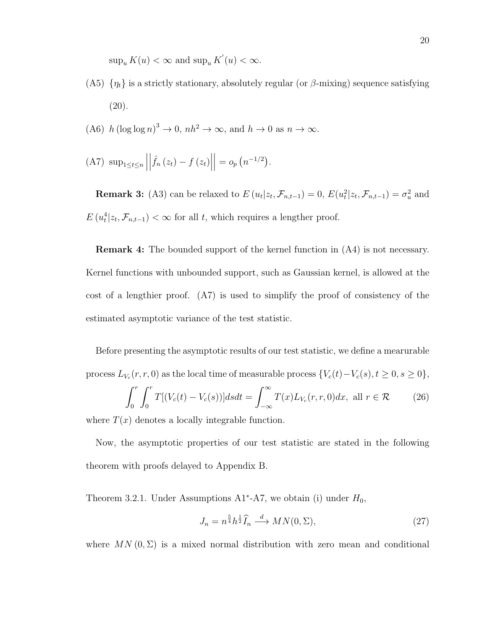$\sup_u K(u) < \infty$  and  $\sup_u K'(u) < \infty$ .

- (A5)  $\{\eta_t\}$  is a strictly stationary, absolutely regular (or  $\beta$ -mixing) sequence satisfying  $(20).$
- (A6)  $h (\log \log n)^3 \to 0$ ,  $nh^2 \to \infty$ , and  $h \to 0$  as  $n \to \infty$ .
- (A7)  $\sup_{1 \leq t \leq n}$  $\begin{array}{c} \begin{array}{c} \begin{array}{c} \end{array} \\ \begin{array}{c} \end{array} \end{array} \end{array}$  $\hat{f}_n(z_t) - f(z_t)$  $= o_p(n^{-1/2}).$

**Remark 3:** (A3) can be relaxed to  $E(u_t|z_t, \mathcal{F}_{n,t-1}) = 0$ ,  $E(u_t^2|z_t, \mathcal{F}_{n,t-1}) = \sigma_u^2$  and  $E(u_t^4|z_t, \mathcal{F}_{n,t-1}) < \infty$  for all t, which requires a lengther proof.

Remark 4: The bounded support of the kernel function in (A4) is not necessary. Kernel functions with unbounded support, such as Gaussian kernel, is allowed at the cost of a lengthier proof. (A7) is used to simplify the proof of consistency of the estimated asymptotic variance of the test statistic.

Before presenting the asymptotic results of our test statistic, we define a mearurable process  $L_{V_c}(r,r,0)$  as the local time of measurable process  $\{V_c(t)-V_c(s), t\geq 0, s\geq 0\},$  $\int_0^r$ 0  $\int_0^r$ 0  $T[(V_c(t)-V_c(s))]dsdt =$  $\int^{\infty}$ −∞  $T(x)L_{V_c}(r,r,0)dx$ , all  $r \in \mathcal{R}$  (26)

where  $T(x)$  denotes a locally integrable function.

Now, the asymptotic properties of our test statistic are stated in the following theorem with proofs delayed to Appendix B.

Theorem 3.2.1. Under Assumptions  $A1^*$ -A7, we obtain (i) under  $H_0$ ,

$$
J_n = n^{\frac{5}{4}} h^{\frac{1}{2}} \widehat{I}_n \xrightarrow{d} MN(0, \Sigma), \tag{27}
$$

where  $MN(0, \Sigma)$  is a mixed normal distribution with zero mean and conditional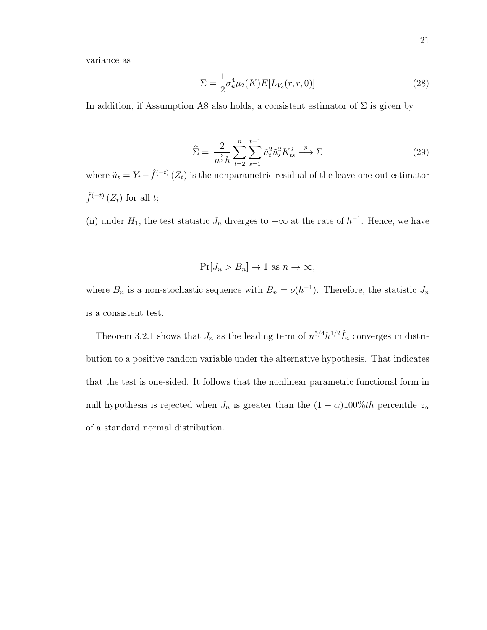variance as

$$
\Sigma = \frac{1}{2} \sigma_u^4 \mu_2(K) E[L_{V_c}(r, r, 0)] \tag{28}
$$

In addition, if Assumption A8 also holds, a consistent estimator of  $\Sigma$  is given by

$$
\widehat{\Sigma} = \frac{2}{n^{\frac{3}{2}}h} \sum_{t=2}^{n} \sum_{s=1}^{t-1} \tilde{u}_t^2 \tilde{u}_s^2 K_{ts}^2 \xrightarrow{p} \Sigma
$$
\n(29)

where  $\tilde{u}_t = Y_t - \hat{f}^{(-t)}(Z_t)$  is the nonparametric residual of the leave-one-out estimator  $\hat{f}^{(-t)}(Z_t)$  for all t;

(ii) under  $H_1$ , the test statistic  $J_n$  diverges to  $+\infty$  at the rate of  $h^{-1}$ . Hence, we have

$$
Pr[J_n > B_n] \to 1 \text{ as } n \to \infty,
$$

where  $B_n$  is a non-stochastic sequence with  $B_n = o(h^{-1})$ . Therefore, the statistic  $J_n$ is a consistent test.

Theorem 3.2.1 shows that  $J_n$  as the leading term of  $n^{5/4}h^{1/2}\hat{I}_n$  converges in distribution to a positive random variable under the alternative hypothesis. That indicates that the test is one-sided. It follows that the nonlinear parametric functional form in null hypothesis is rejected when  $J_n$  is greater than the  $(1 - \alpha)100\%$ th percentile  $z_{\alpha}$ of a standard normal distribution.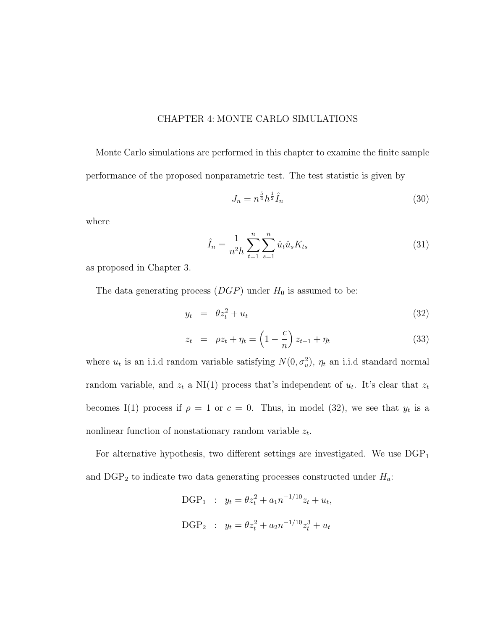## CHAPTER 4: MONTE CARLO SIMULATIONS

Monte Carlo simulations are performed in this chapter to examine the finite sample performance of the proposed nonparametric test. The test statistic is given by

$$
J_n = n^{\frac{5}{4}} h^{\frac{1}{2}} \hat{I}_n \tag{30}
$$

where

$$
\hat{I}_n = \frac{1}{n^2 h} \sum_{t=1}^n \sum_{s=1}^n \hat{u}_t \hat{u}_s K_{ts} \tag{31}
$$

as proposed in Chapter 3.

The data generating process  $(DGP)$  under  $H_0$  is assumed to be:

$$
y_t = \theta z_t^2 + u_t \tag{32}
$$

$$
z_t = \rho z_t + \eta_t = \left(1 - \frac{c}{n}\right) z_{t-1} + \eta_t \tag{33}
$$

where  $u_t$  is an i.i.d random variable satisfying  $N(0, \sigma_u^2)$ ,  $\eta_t$  an i.i.d standard normal random variable, and  $z_t$  a NI(1) process that's independent of  $u_t$ . It's clear that  $z_t$ becomes I(1) process if  $\rho = 1$  or  $c = 0$ . Thus, in model (32), we see that  $y_t$  is a nonlinear function of nonstationary random variable  $z_t$ .

For alternative hypothesis, two different settings are investigated. We use  $DGP_1$ and  $\text{DGP}_2$  to indicate two data generating processes constructed under  $H_a$ :

> DGP<sub>1</sub> :  $y_t = \theta z_t^2 + a_1 n^{-1/10} z_t + u_t$ , DGP<sub>2</sub> :  $y_t = \theta z_t^2 + a_2 n^{-1/10} z_t^3 + u_t$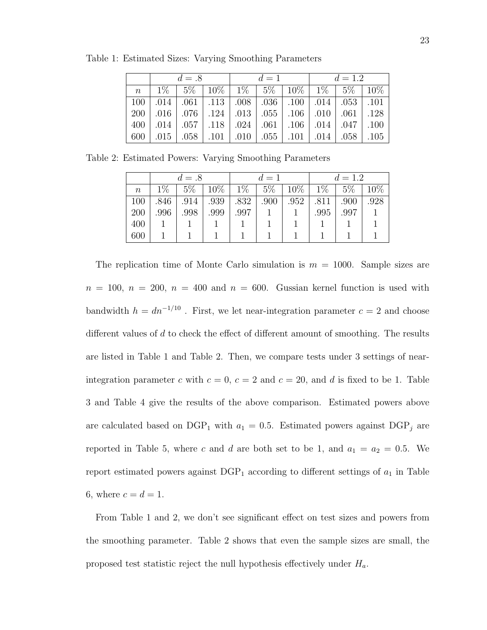|                | $d = .8$ |  |  | $d=1$ |  |                                                              | $d = 1.2$ |  |  |
|----------------|----------|--|--|-------|--|--------------------------------------------------------------|-----------|--|--|
| $\overline{n}$ |          |  |  |       |  | $1\%$   5\%   10\%   1\%   5\%   10\%   1\%   5\%   10\%     |           |  |  |
| 100            |          |  |  |       |  | .014   .061   .113   .008   .036   .100   .014   .053   .101 |           |  |  |
| <b>200</b>     |          |  |  |       |  | .010   .076   .124   .013   .055   .106   .010   .061   .128 |           |  |  |
| 400            |          |  |  |       |  | .014   .057   .118   .024   .061   .106   .014   .047   .000 |           |  |  |
| 600            |          |  |  |       |  | .015   .058   .101   .010   .055   .101   .014   .058   .105 |           |  |  |

Table 1: Estimated Sizes: Varying Smoothing Parameters

Table 2: Estimated Powers: Varying Smoothing Parameters

|        | $d=.8$ |       |        | $d=1$ |       |      | $d = 1.2$ |       |        |
|--------|--------|-------|--------|-------|-------|------|-----------|-------|--------|
| $\, n$ | $1\%$  | $5\%$ | $10\%$ | $1\%$ | $5\%$ | 10%  | $1\%$     | $5\%$ | $10\%$ |
| 100    | .846   | .914  | .939   | .832  | .900  | .952 | .811      | .900  | .928   |
| 200    | .996   | .998  | .999   | .997  |       |      | .995      | .997  |        |
| 400    |        |       |        |       |       |      |           |       |        |
| 600    |        |       |        |       |       |      |           |       |        |

The replication time of Monte Carlo simulation is  $m = 1000$ . Sample sizes are  $n = 100$ ,  $n = 200$ ,  $n = 400$  and  $n = 600$ . Gussian kernel function is used with bandwidth  $h = dn^{-1/10}$ . First, we let near-integration parameter  $c = 2$  and choose different values of d to check the effect of different amount of smoothing. The results are listed in Table 1 and Table 2. Then, we compare tests under 3 settings of nearintegration parameter c with  $c = 0$ ,  $c = 2$  and  $c = 20$ , and d is fixed to be 1. Table 3 and Table 4 give the results of the above comparison. Estimated powers above are calculated based on DGP<sub>1</sub> with  $a_1 = 0.5$ . Estimated powers against DGP<sub>j</sub> are reported in Table 5, where c and d are both set to be 1, and  $a_1 = a_2 = 0.5$ . We report estimated powers against  $DGP_1$  according to different settings of  $a_1$  in Table 6, where  $c = d = 1$ .

From Table 1 and 2, we don't see significant effect on test sizes and powers from the smoothing parameter. Table 2 shows that even the sample sizes are small, the proposed test statistic reject the null hypothesis effectively under  $H_a$ .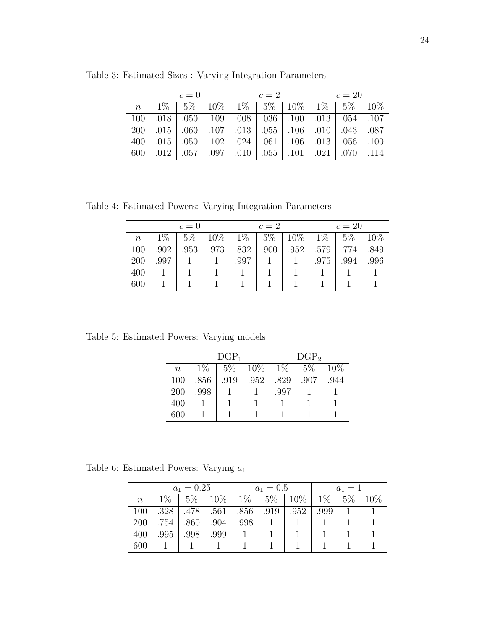|                 | $c=0$ |  |  | $c=2$ |  |                                                                                | $c=20$ |  |  |
|-----------------|-------|--|--|-------|--|--------------------------------------------------------------------------------|--------|--|--|
| $n_{\parallel}$ |       |  |  |       |  | $1\%$   5\%   10\%   1\%   5\%   10\%   1\%   5\%   10\%                       |        |  |  |
| 100             |       |  |  |       |  | $0.018$   $0.050$   $0.008$   $0.036$   $0.100$   $0.013$   $0.054$   $0.107$  |        |  |  |
| <b>200</b>      |       |  |  |       |  | .010   .043   .060   .107   .013   .055   .106   .010   .043   .087            |        |  |  |
| 400             |       |  |  |       |  | $.015$   $.050$   $.102$   $.024$   $.061$   $.106$   $.013$   $.056$   $.100$ |        |  |  |
| 600             | .012  |  |  |       |  | $0.057$   $0.097$   $0.010$   $0.055$   $0.101$   $0.021$   $0.070$   $0.114$  |        |  |  |

Table 3: Estimated Sizes : Varying Integration Parameters

Table 4: Estimated Powers: Varying Integration Parameters

|          | $c=0$ |       |        |       | $c=2$ |      |       | $c=20$ |        |  |
|----------|-------|-------|--------|-------|-------|------|-------|--------|--------|--|
| $\it{n}$ | $1\%$ | $5\%$ | $10\%$ | $1\%$ | $5\%$ | 10%  | $1\%$ | $5\%$  | $10\%$ |  |
| 100      | .902  | .953  | .973   | .832  | .900  | .952 | .579  | .774   | .849   |  |
| 200      | .997  |       |        | .997  |       |      | .975  | .994   | .996   |  |
| 400      |       |       |        |       |       |      |       |        |        |  |
| 600      |       |       |        |       |       |      |       |        |        |  |

Table 5: Estimated Powers: Varying models

|                  |       | $DGP_1$ |      |       | DGP <sub>2</sub> |        |
|------------------|-------|---------|------|-------|------------------|--------|
| $\boldsymbol{n}$ | $1\%$ | 5%      | 10%  | $1\%$ | 5%               | $10\%$ |
| 100              | .856  | .919    | .952 | .829  | .907             | .944   |
| 200              | .998  |         |      | .997  |                  |        |
| 400              |       |         |      |       |                  |        |
| 600              |       |         |      |       |                  |        |

Table 6: Estimated Powers: Varying  $a_1$ 

|       | $a_1 = 0.25$ |       |            | $a_1 = 0.5$ |      |                | $a_1 = 1$ |       |     |
|-------|--------------|-------|------------|-------------|------|----------------|-----------|-------|-----|
| $\,n$ | $1\%$        | $5\%$ | $\pm 10\%$ | $1\%$       |      | $5\%$   $10\%$ | $1\%$     | $5\%$ | 10% |
| 100   | .328         | .478  | .561       | .856        | .919 | .952           | .999      |       |     |
| 200   | .754         | .860  | .904       | .998        |      |                |           |       |     |
| 400   | .995         | .998  | .999       |             |      |                |           |       |     |
| 600   |              |       |            |             |      |                |           |       |     |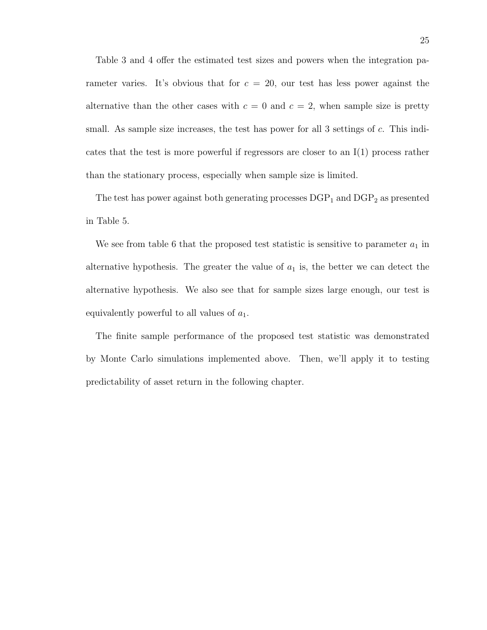Table 3 and 4 offer the estimated test sizes and powers when the integration parameter varies. It's obvious that for  $c = 20$ , our test has less power against the alternative than the other cases with  $c = 0$  and  $c = 2$ , when sample size is pretty small. As sample size increases, the test has power for all 3 settings of c. This indicates that the test is more powerful if regressors are closer to an  $I(1)$  process rather than the stationary process, especially when sample size is limited.

The test has power against both generating processes  $DGP_1$  and  $DGP_2$  as presented in Table 5.

We see from table 6 that the proposed test statistic is sensitive to parameter  $a_1$  in alternative hypothesis. The greater the value of  $a_1$  is, the better we can detect the alternative hypothesis. We also see that for sample sizes large enough, our test is equivalently powerful to all values of  $a_1$ .

The finite sample performance of the proposed test statistic was demonstrated by Monte Carlo simulations implemented above. Then, we'll apply it to testing predictability of asset return in the following chapter.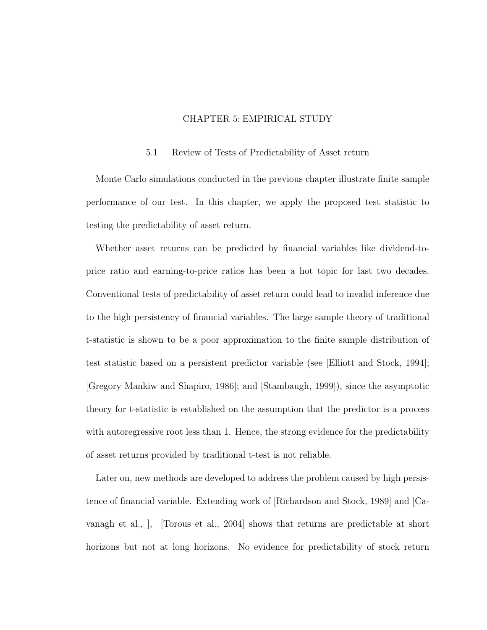# CHAPTER 5: EMPIRICAL STUDY

#### 5.1 Review of Tests of Predictability of Asset return

Monte Carlo simulations conducted in the previous chapter illustrate finite sample performance of our test. In this chapter, we apply the proposed test statistic to testing the predictability of asset return.

Whether asset returns can be predicted by financial variables like dividend-toprice ratio and earning-to-price ratios has been a hot topic for last two decades. Conventional tests of predictability of asset return could lead to invalid inference due to the high persistency of financial variables. The large sample theory of traditional t-statistic is shown to be a poor approximation to the finite sample distribution of test statistic based on a persistent predictor variable (see [Elliott and Stock, 1994]; [Gregory Mankiw and Shapiro, 1986]; and [Stambaugh, 1999]), since the asymptotic theory for t-statistic is established on the assumption that the predictor is a process with autoregressive root less than 1. Hence, the strong evidence for the predictability of asset returns provided by traditional t-test is not reliable.

Later on, new methods are developed to address the problem caused by high persistence of financial variable. Extending work of [Richardson and Stock, 1989] and [Cavanagh et al., ], [Torous et al., 2004] shows that returns are predictable at short horizons but not at long horizons. No evidence for predictability of stock return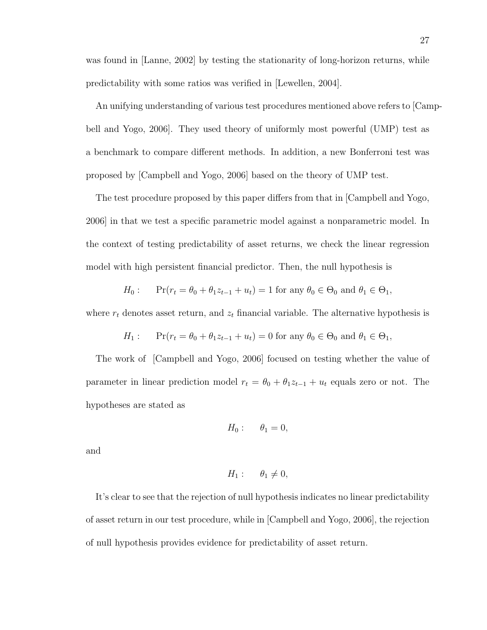was found in [Lanne, 2002] by testing the stationarity of long-horizon returns, while predictability with some ratios was verified in [Lewellen, 2004].

An unifying understanding of various test procedures mentioned above refers to [Campbell and Yogo, 2006]. They used theory of uniformly most powerful (UMP) test as a benchmark to compare different methods. In addition, a new Bonferroni test was proposed by [Campbell and Yogo, 2006] based on the theory of UMP test.

The test procedure proposed by this paper differs from that in [Campbell and Yogo, 2006] in that we test a specific parametric model against a nonparametric model. In the context of testing predictability of asset returns, we check the linear regression model with high persistent financial predictor. Then, the null hypothesis is

$$
H_0: \quad \Pr(r_t = \theta_0 + \theta_1 z_{t-1} + u_t) = 1 \text{ for any } \theta_0 \in \Theta_0 \text{ and } \theta_1 \in \Theta_1,
$$

where  $r_t$  denotes asset return, and  $z_t$  financial variable. The alternative hypothesis is

$$
H_1: \quad \Pr(r_t = \theta_0 + \theta_1 z_{t-1} + u_t) = 0 \text{ for any } \theta_0 \in \Theta_0 \text{ and } \theta_1 \in \Theta_1,
$$

The work of [Campbell and Yogo, 2006] focused on testing whether the value of parameter in linear prediction model  $r_t = \theta_0 + \theta_1 z_{t-1} + u_t$  equals zero or not. The hypotheses are stated as

$$
H_0: \qquad \theta_1=0,
$$

and

$$
H_1: \qquad \theta_1 \neq 0,
$$

It's clear to see that the rejection of null hypothesis indicates no linear predictability of asset return in our test procedure, while in [Campbell and Yogo, 2006], the rejection of null hypothesis provides evidence for predictability of asset return.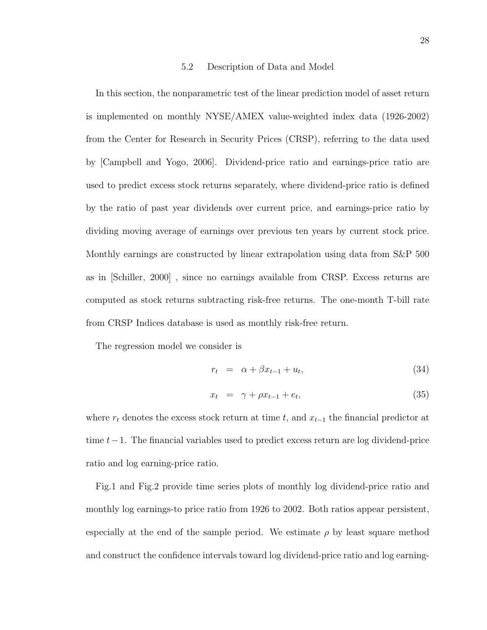#### 5.2 Description of Data and Model

In this section, the nonparametric test of the linear prediction model of asset return is implemented on monthly NYSE/AMEX value-weighted index data (1926-2002) from the Center for Research in Security Prices (CRSP), referring to the data used by [Campbell and Yogo, 2006]. Dividend-price ratio and earnings-price ratio are used to predict excess stock returns separately, where dividend-price ratio is defined by the ratio of past year dividends over current price, and earnings-price ratio by dividing moving average of earnings over previous ten years by current stock price. Monthly earnings are constructed by linear extrapolation using data from S&P 500 as in [Schiller, 2000] , since no earnings available from CRSP. Excess returns are computed as stock returns subtracting risk-free returns. The one-month T-bill rate from CRSP Indices database is used as monthly risk-free return.

The regression model we consider is

$$
r_t = \alpha + \beta x_{t-1} + u_t, \tag{34}
$$

$$
x_t = \gamma + \rho x_{t-1} + e_t, \tag{35}
$$

where  $r_t$  denotes the excess stock return at time t, and  $x_{t-1}$  the financial predictor at time t−1. The financial variables used to predict excess return are log dividend-price ratio and log earning-price ratio.

Fig.1 and Fig.2 provide time series plots of monthly log dividend-price ratio and monthly log earnings-to price ratio from 1926 to 2002. Both ratios appear persistent, especially at the end of the sample period. We estimate  $\rho$  by least square method and construct the confidence intervals toward log dividend-price ratio and log earning-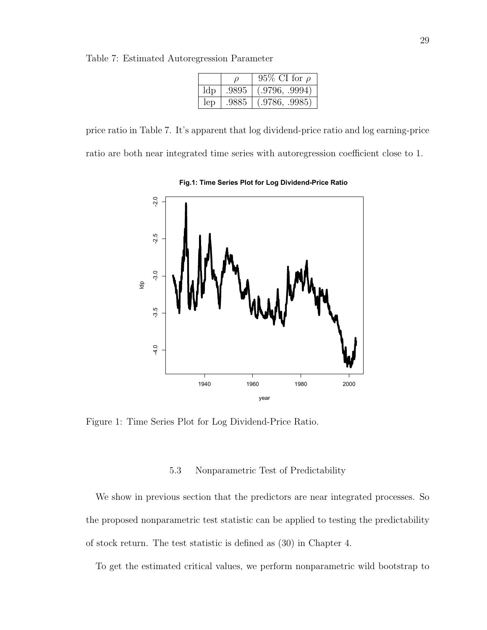Table 7: Estimated Autoregression Parameter

|     |       | 95\% CI for $\rho$ |
|-----|-------|--------------------|
| ldp | .9895 | (.9796, .9994)     |
| lep | .9885 | (.9786, .9985)     |

price ratio in Table 7. It's apparent that log dividend-price ratio and log earning-price ratio are both near integrated time series with autoregression coefficient close to 1.



**Fig.1: Time Series Plot for Log Dividend-Price Ratio** 

Figure 1: Time Series Plot for Log Dividend-Price Ratio.

## 5.3 Nonparametric Test of Predictability

We show in previous section that the predictors are near integrated processes. So the proposed nonparametric test statistic can be applied to testing the predictability of stock return. The test statistic is defined as (30) in Chapter 4.

To get the estimated critical values, we perform nonparametric wild bootstrap to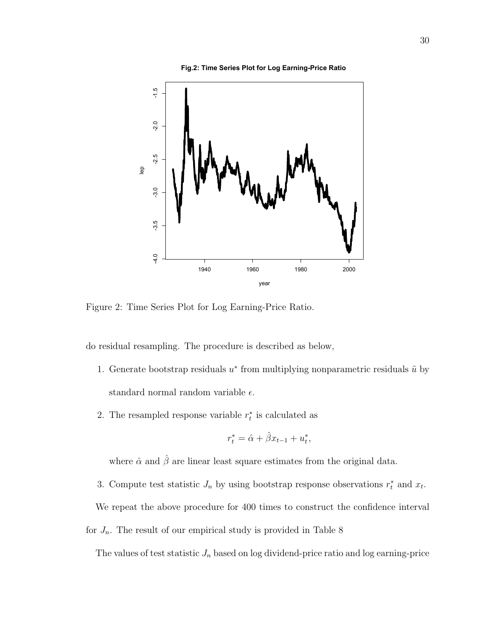

Figure 2: Time Series Plot for Log Earning-Price Ratio.

do residual resampling. The procedure is described as below,

- 1. Generate bootstrap residuals  $u^*$  from multiplying nonparametric residuals  $\tilde{u}$  by standard normal random variable  $\epsilon$ .
- 2. The resampled response variable  $r_t^*$  is calculated as

$$
r_t^* = \hat{\alpha} + \hat{\beta} x_{t-1} + u_t^*,
$$

where  $\hat{\alpha}$  and  $\hat{\beta}$  are linear least square estimates from the original data.

3. Compute test statistic  $J_n$  by using bootstrap response observations  $r_t^*$  and  $x_t$ .

We repeat the above procedure for 400 times to construct the confidence interval

for  $J_n$ . The result of our empirical study is provided in Table 8

The values of test statistic  $J_n$  based on log dividend-price ratio and log earning-price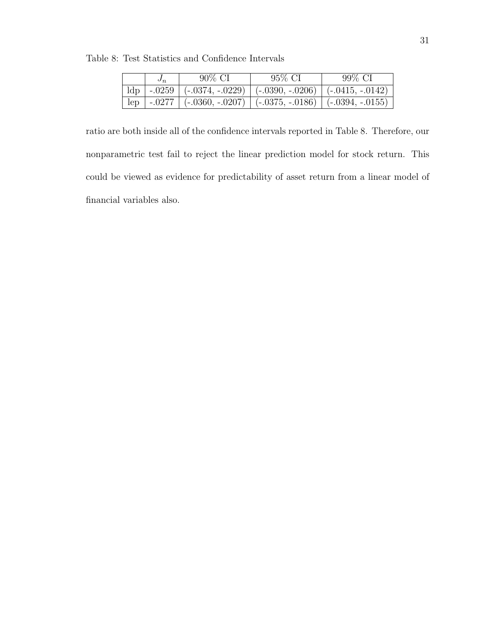Table 8: Test Statistics and Confidence Intervals

| $\boldsymbol{\sigma}_{n}$ | $90\%$ CI                                                                      | 95\% CI | 99% CI |
|---------------------------|--------------------------------------------------------------------------------|---------|--------|
|                           | $\text{Idp}$   -.0259   (-.0374, -.0229)   (-.0390, -.0206)   (-.0415, -.0142) |         |        |
|                           | $\vert$ lep   -.0277   (-.0360, -.0207)   (-.0375, -.0186)   (-.0394, -.0155)  |         |        |

ratio are both inside all of the confidence intervals reported in Table 8. Therefore, our nonparametric test fail to reject the linear prediction model for stock return. This could be viewed as evidence for predictability of asset return from a linear model of financial variables also.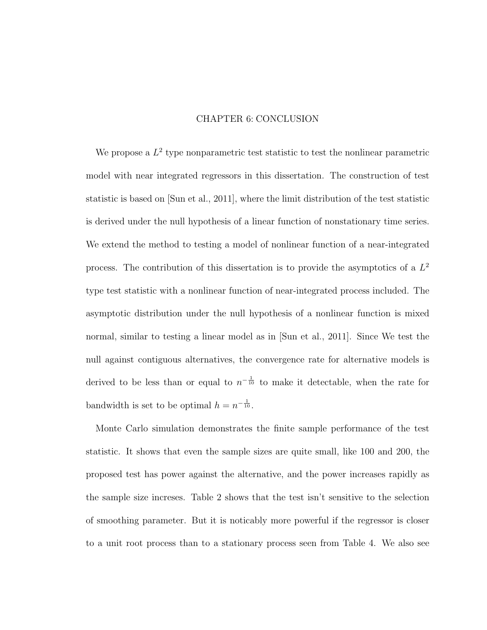# CHAPTER 6: CONCLUSION

We propose a  $L^2$  type nonparametric test statistic to test the nonlinear parametric model with near integrated regressors in this dissertation. The construction of test statistic is based on [Sun et al., 2011], where the limit distribution of the test statistic is derived under the null hypothesis of a linear function of nonstationary time series. We extend the method to testing a model of nonlinear function of a near-integrated process. The contribution of this dissertation is to provide the asymptotics of a  $L^2$ type test statistic with a nonlinear function of near-integrated process included. The asymptotic distribution under the null hypothesis of a nonlinear function is mixed normal, similar to testing a linear model as in [Sun et al., 2011]. Since We test the null against contiguous alternatives, the convergence rate for alternative models is derived to be less than or equal to  $n^{-\frac{1}{10}}$  to make it detectable, when the rate for bandwidth is set to be optimal  $h = n^{-\frac{1}{10}}$ .

Monte Carlo simulation demonstrates the finite sample performance of the test statistic. It shows that even the sample sizes are quite small, like 100 and 200, the proposed test has power against the alternative, and the power increases rapidly as the sample size increses. Table 2 shows that the test isn't sensitive to the selection of smoothing parameter. But it is noticably more powerful if the regressor is closer to a unit root process than to a stationary process seen from Table 4. We also see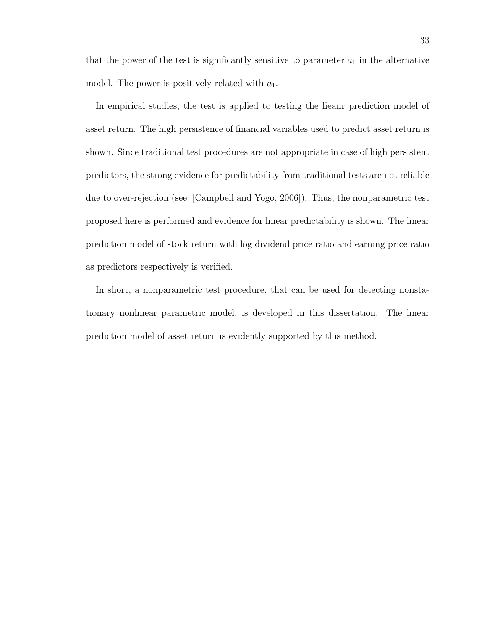that the power of the test is significantly sensitive to parameter  $a_1$  in the alternative model. The power is positively related with  $a_1$ .

In empirical studies, the test is applied to testing the lieanr prediction model of asset return. The high persistence of financial variables used to predict asset return is shown. Since traditional test procedures are not appropriate in case of high persistent predictors, the strong evidence for predictability from traditional tests are not reliable due to over-rejection (see [Campbell and Yogo, 2006]). Thus, the nonparametric test proposed here is performed and evidence for linear predictability is shown. The linear prediction model of stock return with log dividend price ratio and earning price ratio as predictors respectively is verified.

In short, a nonparametric test procedure, that can be used for detecting nonstationary nonlinear parametric model, is developed in this dissertation. The linear prediction model of asset return is evidently supported by this method.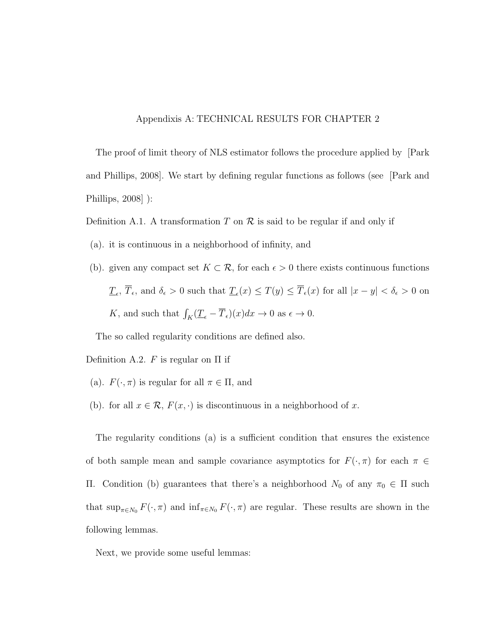# Appendixis A: TECHNICAL RESULTS FOR CHAPTER 2

The proof of limit theory of NLS estimator follows the procedure applied by [Park and Phillips, 2008]. We start by defining regular functions as follows (see [Park and Phillips, 2008] ):

Definition A.1. A transformation T on  $\mathcal R$  is said to be regular if and only if

- (a). it is continuous in a neighborhood of infinity, and
- (b). given any compact set  $K \subset \mathcal{R}$ , for each  $\epsilon > 0$  there exists continuous functions  $\underline{T}_{\epsilon}$ ,  $\overline{T}_{\epsilon}$ , and  $\delta_{\epsilon} > 0$  such that  $\underline{T}_{\epsilon}(x) \leq T(y) \leq \overline{T}_{\epsilon}(x)$  for all  $|x - y| < \delta_{\epsilon} > 0$  on K, and such that  $\int_K (\underline{T}_{\epsilon} - \overline{T}_{\epsilon})(x) dx \to 0$  as  $\epsilon \to 0$ .

The so called regularity conditions are defined also.

Definition A.2.  $F$  is regular on  $\Pi$  if

- (a).  $F(\cdot, \pi)$  is regular for all  $\pi \in \Pi$ , and
- (b). for all  $x \in \mathcal{R}$ ,  $F(x, \cdot)$  is discontinuous in a neighborhood of x.

The regularity conditions (a) is a sufficient condition that ensures the existence of both sample mean and sample covariance asymptotics for  $F(\cdot, \pi)$  for each  $\pi \in$ Π. Condition (b) guarantees that there's a neighborhood  $N_0$  of any π<sub>0</sub> ∈ Π such that  $\sup_{\pi \in N_0} F(\cdot, \pi)$  and  $\inf_{\pi \in N_0} F(\cdot, \pi)$  are regular. These results are shown in the following lemmas.

Next, we provide some useful lemmas: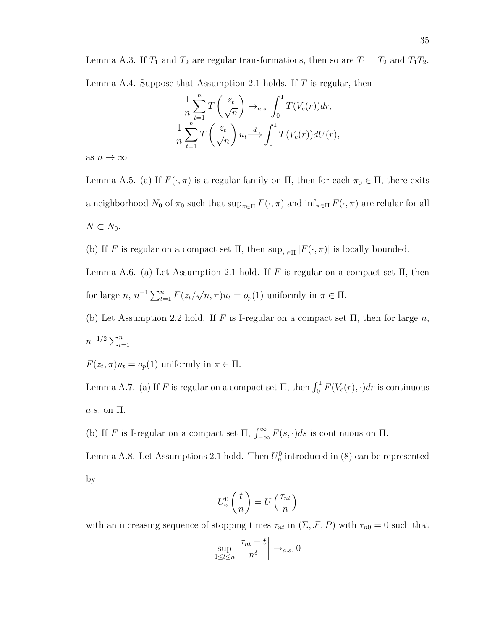Lemma A.3. If  $T_1$  and  $T_2$  are regular transformations, then so are  $T_1 \pm T_2$  and  $T_1T_2$ . Lemma A.4. Suppose that Assumption 2.1 holds. If  $T$  is regular, then

$$
\frac{1}{n}\sum_{t=1}^{n}T\left(\frac{z_t}{\sqrt{n}}\right) \to_{a.s.} \int_0^1 T(V_c(r))dr,
$$
  

$$
\frac{1}{n}\sum_{t=1}^{n}T\left(\frac{z_t}{\sqrt{n}}\right)u_t \stackrel{d}{\longrightarrow} \int_0^1 T(V_c(r))dU(r),
$$

as  $n \to \infty$ 

Lemma A.5. (a) If  $F(\cdot, \pi)$  is a regular family on  $\Pi$ , then for each  $\pi_0 \in \Pi$ , there exits a neighborhood  $N_0$  of  $\pi_0$  such that  $\sup_{\pi \in \Pi} F(\cdot, \pi)$  and  $\inf_{\pi \in \Pi} F(\cdot, \pi)$  are relular for all  $N \subset N_0$ .

(b) If F is regular on a compact set  $\Pi$ , then  $\sup_{\pi \in \Pi} |F(\cdot, \pi)|$  is locally bounded.

Lemma A.6. (a) Let Assumption 2.1 hold. If F is regular on a compact set  $\Pi$ , then for large  $n, n^{-1} \sum_{t=1}^{n} F(z_t)$ √  $\overline{n}, \pi$ ) $u_t = o_p(1)$  uniformly in  $\pi \in \Pi$ .

(b) Let Assumption 2.2 hold. If F is I-regular on a compact set  $\Pi$ , then for large n,  $n^{-1/2} \sum_{t=1}^{n}$ 

 $F(z_t, \pi)u_t = o_p(1)$  uniformly in  $\pi \in \Pi$ .

Lemma A.7. (a) If F is regular on a compact set  $\Pi$ , then  $\int_0^1 F(V_c(r), \cdot) dr$  is continuous a.s. on Π.

(b) If F is I-regular on a compact set  $\Pi$ ,  $\int_{-\infty}^{\infty} F(s, \cdot) ds$  is continuous on  $\Pi$ .

Lemma A.8. Let Assumptions 2.1 hold. Then  $U_n^0$  introduced in (8) can be represented by

$$
U_n^0\left(\frac{t}{n}\right) = U\left(\frac{\tau_{nt}}{n}\right)
$$

with an increasing sequence of stopping times  $\tau_{nt}$  in  $(\Sigma, \mathcal{F}, P)$  with  $\tau_{n0} = 0$  such that  $\overline{1}$  $\tau_{nt} - t$  $+$ 

$$
\sup_{1 \le t \le n} \left| \frac{\tau_{nt} - t}{n^{\delta}} \right| \to_{a.s.} 0
$$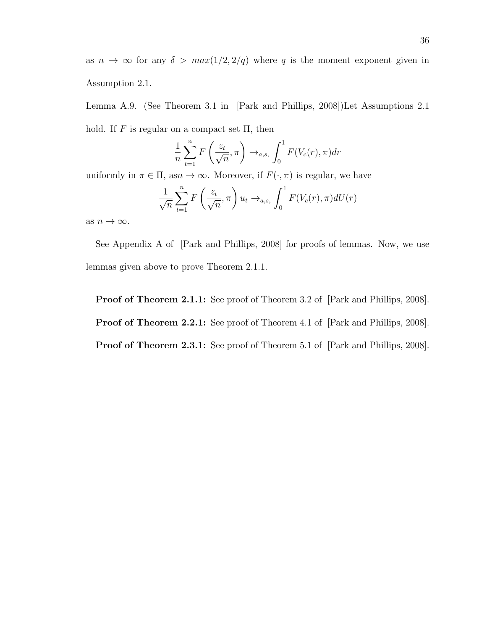as  $n \to \infty$  for any  $\delta > max(1/2, 2/q)$  where q is the moment exponent given in Assumption 2.1.

Lemma A.9. (See Theorem 3.1 in [Park and Phillips, 2008])Let Assumptions 2.1 hold. If  $F$  is regular on a compact set  $\Pi$ , then

$$
\frac{1}{n}\sum_{t=1}^{n} F\left(\frac{z_t}{\sqrt{n}}, \pi\right) \to_{a,s} \int_0^1 F(V_c(r), \pi) dr
$$

uniformly in  $\pi \in \Pi$ , as $n \to \infty$ . Moreover, if  $F(\cdot, \pi)$  is regular, we have

$$
\frac{1}{\sqrt{n}}\sum_{t=1}^{n} F\left(\frac{z_t}{\sqrt{n}}, \pi\right) u_t \to_{a,s} \int_0^1 F(V_c(r), \pi) dU(r)
$$

as  $n \to \infty$ .

See Appendix A of [Park and Phillips, 2008] for proofs of lemmas. Now, we use lemmas given above to prove Theorem 2.1.1.

Proof of Theorem 2.1.1: See proof of Theorem 3.2 of [Park and Phillips, 2008].

Proof of Theorem 2.2.1: See proof of Theorem 4.1 of [Park and Phillips, 2008].

Proof of Theorem 2.3.1: See proof of Theorem 5.1 of [Park and Phillips, 2008].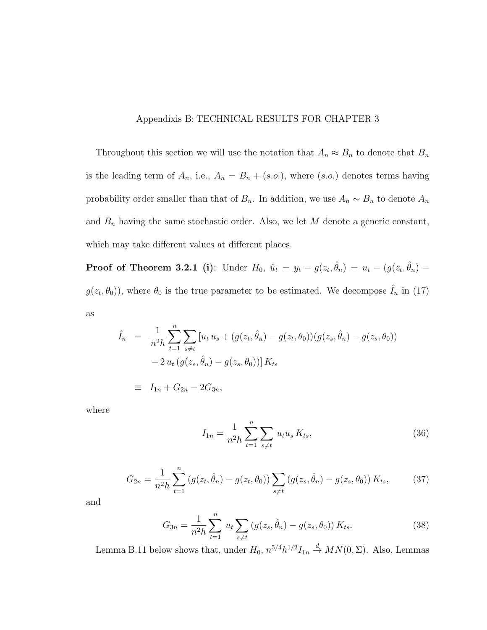# Appendixis B: TECHNICAL RESULTS FOR CHAPTER 3

Throughout this section we will use the notation that  $A_n \approx B_n$  to denote that  $B_n$ is the leading term of  $A_n$ , i.e.,  $A_n = B_n + (s.o.),$  where  $(s.o.)$  denotes terms having probability order smaller than that of  $B_n$ . In addition, we use  $A_n \sim B_n$  to denote  $A_n$ and  $B_n$  having the same stochastic order. Also, we let M denote a generic constant, which may take different values at different places.

**Proof of Theorem 3.2.1 (i)**: Under  $H_0$ ,  $\hat{u}_t = y_t - g(z_t, \hat{\theta}_n) = u_t - (g(z_t, \hat{\theta}_n) - g(z_t, \hat{\theta}_n))$  $g(z_t, \theta_0)$ , where  $\theta_0$  is the true parameter to be estimated. We decompose  $\hat{I}_n$  in (17) as

$$
\hat{I}_n = \frac{1}{n^2 h} \sum_{t=1}^n \sum_{s \neq t} [u_t u_s + (g(z_t, \hat{\theta}_n) - g(z_t, \theta_0)) (g(z_s, \hat{\theta}_n) - g(z_s, \theta_0))
$$
  

$$
- 2 u_t (g(z_s, \hat{\theta}_n) - g(z_s, \theta_0)) K_{ts}
$$
  

$$
\equiv I_{1n} + G_{2n} - 2G_{3n},
$$

where

$$
I_{1n} = \frac{1}{n^2 h} \sum_{t=1}^{n} \sum_{s \neq t} u_t u_s K_{ts},
$$
\n(36)

$$
G_{2n} = \frac{1}{n^2 h} \sum_{t=1}^{n} \left( g(z_t, \hat{\theta}_n) - g(z_t, \theta_0) \right) \sum_{s \neq t} \left( g(z_s, \hat{\theta}_n) - g(z_s, \theta_0) \right) K_{ts}, \tag{37}
$$

and

$$
G_{3n} = \frac{1}{n^2 h} \sum_{t=1}^n u_t \sum_{s \neq t} \left( g(z_s, \hat{\theta}_n) - g(z_s, \theta_0) \right) K_{ts}.
$$
 (38)

Lemma B.11 below shows that, under  $H_0$ ,  $n^{5/4}h^{1/2}I_{1n} \stackrel{d}{\rightarrow} MN(0, \Sigma)$ . Also, Lemmas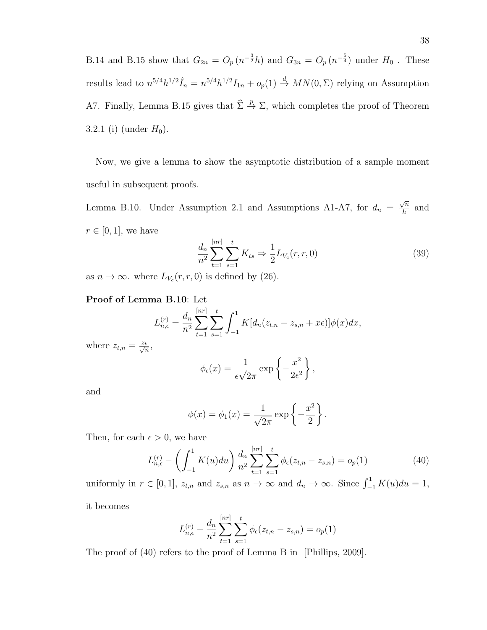B.14 and B.15 show that  $G_{2n} = O_p(n^{-\frac{3}{2}}h)$  and  $G_{3n} = O_p(n^{-\frac{5}{4}})$  under  $H_0$ . These results lead to  $n^{5/4}h^{1/2}\hat{I}_n = n^{5/4}h^{1/2}I_{1n} + o_p(1) \stackrel{d}{\to} MN(0, \Sigma)$  relying on Assumption A7. Finally, Lemma B.15 gives that  $\hat{\Sigma} \stackrel{p}{\rightarrow} \Sigma$ , which completes the proof of Theorem 3.2.1 (i) (under  $H_0$ ).

Now, we give a lemma to show the asymptotic distribution of a sample moment useful in subsequent proofs.

Lemma B.10. Under Assumption 2.1 and Assumptions A1-A7, for  $d_n =$  $\sqrt{n}$  $\frac{\sqrt{n}}{h}$  and  $r \in [0, 1]$ , we have

$$
\frac{d_n}{n^2} \sum_{t=1}^{[nr]} \sum_{s=1}^t K_{ts} \Rightarrow \frac{1}{2} L_{V_c}(r, r, 0)
$$
\n(39)

as  $n \to \infty$ . where  $L_{V_c}(r,r,0)$  is defined by (26).

# Proof of Lemma B.10: Let

$$
L_{n,\epsilon}^{(r)} = \frac{d_n}{n^2} \sum_{t=1}^{[nr]} \sum_{s=1}^t \int_{-1}^1 K[d_n(z_{t,n} - z_{s,n} + x\epsilon)]\phi(x)dx,
$$

where  $z_{t,n} = \frac{z_t}{\sqrt{n}}$ ,

$$
\phi_{\epsilon}(x) = \frac{1}{\epsilon \sqrt{2\pi}} \exp\left\{-\frac{x^2}{2\epsilon^2}\right\},\,
$$

and

$$
\phi(x) = \phi_1(x) = \frac{1}{\sqrt{2\pi}} \exp\left\{-\frac{x^2}{2}\right\}.
$$

Then, for each  $\epsilon > 0$ , we have

$$
L_{n,\epsilon}^{(r)} - \left(\int_{-1}^{1} K(u) du\right) \frac{d_n}{n^2} \sum_{t=1}^{[nr]} \sum_{s=1}^{t} \phi_{\epsilon}(z_{t,n} - z_{s,n}) = o_p(1)
$$
(40)

uniformly in  $r \in [0, 1]$ ,  $z_{t,n}$  and  $z_{s,n}$  as  $n \to \infty$  and  $d_n \to \infty$ . Since  $\int_{-1}^{1} K(u) du = 1$ , it becomes

$$
L_{n,\epsilon}^{(r)} - \frac{d_n}{n^2} \sum_{t=1}^{[nr]} \sum_{s=1}^t \phi_{\epsilon}(z_{t,n} - z_{s,n}) = o_p(1)
$$

The proof of (40) refers to the proof of Lemma B in [Phillips, 2009].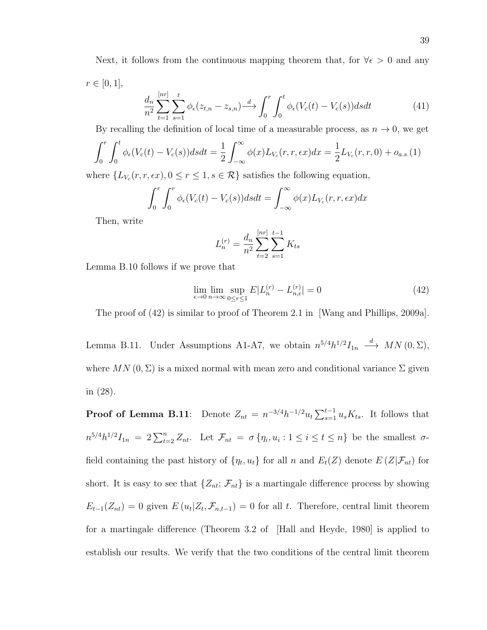Next, it follows from the continuous mapping theorem that, for  $\forall \epsilon > 0$  and any  $r \in [0, 1],$ 

$$
\frac{d_n}{n^2} \sum_{t=1}^{[nr]} \sum_{s=1}^t \phi_\epsilon(z_{t,n} - z_{s,n}) \stackrel{d}{\longrightarrow} \int_0^r \int_0^t \phi_\epsilon(V_c(t) - V_c(s)) ds dt \tag{41}
$$

By recalling the definition of local time of a measurable process, as  $n \to 0$ , we get

$$
\int_0^r \int_0^t \phi_{\epsilon}(V_c(t) - V_c(s)) ds dt = \frac{1}{2} \int_{-\infty}^{\infty} \phi(x) L_{V_c}(r, r, \epsilon x) dx = \frac{1}{2} L_{V_c}(r, r, 0) + o_{a.s.}(1)
$$

where  $\{L_{V_c}(r, r, \epsilon x), 0 \le r \le 1, s \in \mathcal{R}\}\$  satisfies the following equation,

$$
\int_0^r \int_0^r \phi_\epsilon (V_c(t) - V_c(s)) ds dt = \int_{-\infty}^\infty \phi(x) L_{V_c}(r, r, \epsilon x) dx
$$

Then, write

$$
L_n^{(r)} = \frac{d_n}{n^2} \sum_{t=2}^{[nr]} \sum_{s=1}^{t-1} K_{ts}
$$

Lemma B.10 follows if we prove that

$$
\lim_{\epsilon \to 0} \lim_{n \to \infty} \sup_{0 \le r \le 1} E|L_n^{(r)} - L_{n,\epsilon}^{(r)}| = 0 \tag{42}
$$

The proof of (42) is similar to proof of Theorem 2.1 in [Wang and Phillips, 2009a].

Lemma B.11. Under Assumptions A1-A7, we obtain  $n^{5/4}h^{1/2}I_{1n} \stackrel{d}{\longrightarrow} MN(0,\Sigma)$ , where  $MN(0, \Sigma)$  is a mixed normal with mean zero and conditional variance  $\Sigma$  given in (28).

**Proof of Lemma B.11**: Denote  $Z_{nt} = n^{-3/4}h^{-1/2}u_t \sum_{s=1}^{t-1} u_s K_{ts}$ . It follows that  $n^{5/4}h^{1/2}I_{1n} = 2\sum_{t=2}^{n} Z_{nt}$ . Let  $\mathcal{F}_{nt} = \sigma \{\eta_i, u_i : 1 \le i \le t \le n\}$  be the smallest  $\sigma$ field containing the past history of  $\{\eta_t, u_t\}$  for all n and  $E_t(Z)$  denote  $E(Z|\mathcal{F}_{nt})$  for short. It is easy to see that  $\{Z_{nt}; \mathcal{F}_{nt}\}$  is a martingale difference process by showing  $E_{t-1}(Z_{nt}) = 0$  given  $E(u_t|Z_t, \mathcal{F}_{n,t-1}) = 0$  for all t. Therefore, central limit theorem for a martingale difference (Theorem 3.2 of [Hall and Heyde, 1980] is applied to establish our results. We verify that the two conditions of the central limit theorem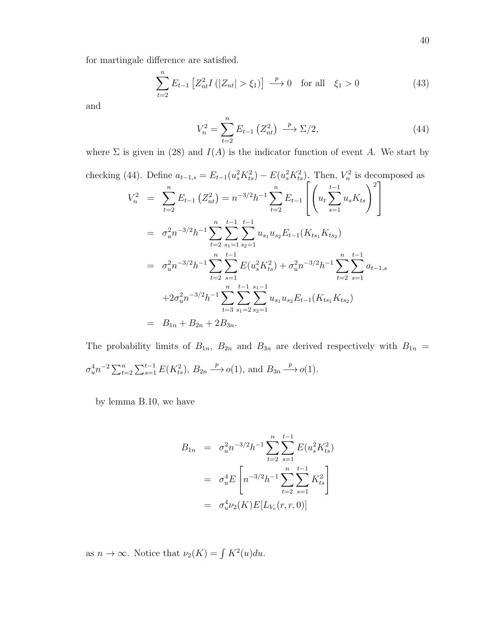for martingale difference are satisfied.

$$
\sum_{t=2}^{n} E_{t-1} \left[ Z_{nt}^2 I \left( |Z_{nt}| > \xi_1 \right) \right] \stackrel{p}{\longrightarrow} 0 \quad \text{for all} \quad \xi_1 > 0 \tag{43}
$$

and

$$
V_n^2 = \sum_{t=2}^n E_{t-1} (Z_{nt}^2) \xrightarrow{p} \Sigma/2, \tag{44}
$$

where  $\Sigma$  is given in (28) and  $I(A)$  is the indicator function of event A. We start by

checking (44). Define 
$$
a_{t-1,s} = E_{t-1}(u_s^2 K_{ts}^2) - E(u_s^2 K_{ts}^2)
$$
. Then,  $V_n^2$  is decomposed as  
\n
$$
V_n^2 = \sum_{t=2}^n E_{t-1} (Z_{nt}^2) = n^{-3/2} h^{-1} \sum_{t=2}^n E_{t-1} \left[ \left( u_t \sum_{s=1}^{t-1} u_s K_{ts} \right)^2 \right]
$$
\n
$$
= \sigma_u^2 n^{-3/2} h^{-1} \sum_{t=2}^n \sum_{s_1=1}^{t-1} \sum_{s_2=1}^{t-1} u_{s_1} u_{s_2} E_{t-1} (K_{ts_1} K_{ts_2})
$$
\n
$$
= \sigma_u^2 n^{-3/2} h^{-1} \sum_{t=2}^n \sum_{s=1}^{t-1} E(u_s^2 K_{ts}^2) + \sigma_u^2 n^{-3/2} h^{-1} \sum_{t=2}^n \sum_{s=1}^{t-1} a_{t-1,s}
$$
\n
$$
+ 2\sigma_u^2 n^{-3/2} h^{-1} \sum_{t=3}^n \sum_{s_1=2}^{t-1} \sum_{s_2=1}^{s_1-1} u_{s_1} u_{s_2} E_{t-1} (K_{ts_1} K_{ts_2})
$$
\n
$$
= B_{1n} + B_{2n} + 2B_{3n}.
$$

The probability limits of  $B_{1n}$ ,  $B_{2n}$  and  $B_{3n}$  are derived respectively with  $B_{1n}$  =  $\sigma_u^4 n^{-2} \sum_{t=2}^n \sum_{s=1}^{t-1} E(K_{ts}^2), B_{2n} \stackrel{p}{\longrightarrow} o(1), \text{ and } B_{3n} \stackrel{p}{\longrightarrow} o(1).$ 

by lemma B.10, we have

$$
B_{1n} = \sigma_u^2 n^{-3/2} h^{-1} \sum_{t=2}^n \sum_{s=1}^{t-1} E(u_s^2 K_{ts}^2)
$$
  
=  $\sigma_u^4 E\left[ n^{-3/2} h^{-1} \sum_{t=2}^n \sum_{s=1}^{t-1} K_{ts}^2 \right]$   
=  $\sigma_u^4 \nu_2(K) E[L_{V_c}(r, r, 0)]$ 

as  $n \to \infty$ . Notice that  $\nu_2(K) = \int K^2(u) du$ .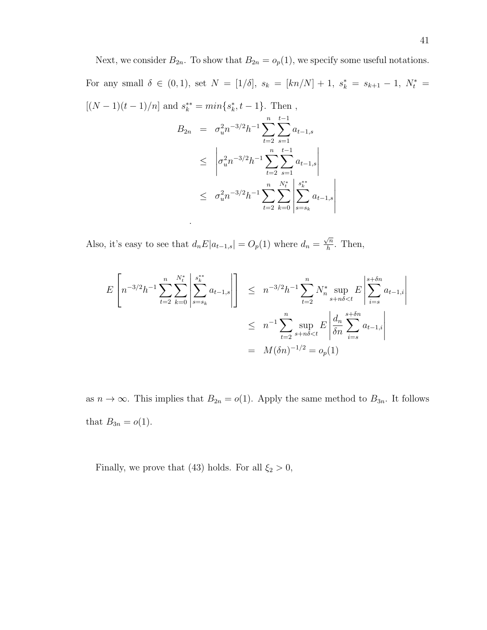Next, we consider  $B_{2n}$ . To show that  $B_{2n} = o_p(1)$ , we specify some useful notations. For any small  $\delta \in (0,1)$ , set  $N = [1/\delta]$ ,  $s_k = [kn/N] + 1$ ,  $s_k^* = s_{k+1} - 1$ ,  $N_t^* =$  $[(N-1)(t-1)/n]$  and  $s_k^{**} = min\{s_k^*, t-1\}$ . Then,  $B_{2n} = \sigma_u^2 n^{-3/2} h^{-1} \sum_{n=1}^n$  $t=2$  $\sum$  $t-1$  $s=1$  $a_{t-1,s}$ 

$$
\leq \left| \sigma_u^2 n^{-3/2} h^{-1} \sum_{t=2}^n \sum_{s=1}^{t-1} a_{t-1,s} \right|
$$
  

$$
\leq \sigma_u^2 n^{-3/2} h^{-1} \sum_{t=2}^n \sum_{k=0}^{N_t^*} \left| \sum_{s=s_k}^{s^*} a_{t-1,s} \right|
$$

Also, it's easy to see that  $d_n E|a_{t-1,s}| = O_p(1)$  where  $d_n =$  $\sqrt{n}$  $\frac{\sqrt{n}}{h}$ . Then,

.

$$
E\left[n^{-3/2}h^{-1}\sum_{t=2}^{n}\sum_{k=0}^{N_{t}^{*}}\left|\sum_{s=s_{k}}^{s_{k}^{**}}a_{t-1,s}\right|\right] \leq n^{-3/2}h^{-1}\sum_{t=2}^{n}N_{n}^{*}\sup_{s+n\delta  

$$
\leq n^{-1}\sum_{t=2}^{n}\sup_{s+n\delta  

$$
= M(\delta n)^{-1/2} = o_{p}(1)
$$
$$
$$

as  $n \to \infty$ . This implies that  $B_{2n} = o(1)$ . Apply the same method to  $B_{3n}$ . It follows that  $B_{3n} = o(1)$ .

Finally, we prove that (43) holds. For all  $\xi_2 > 0$ ,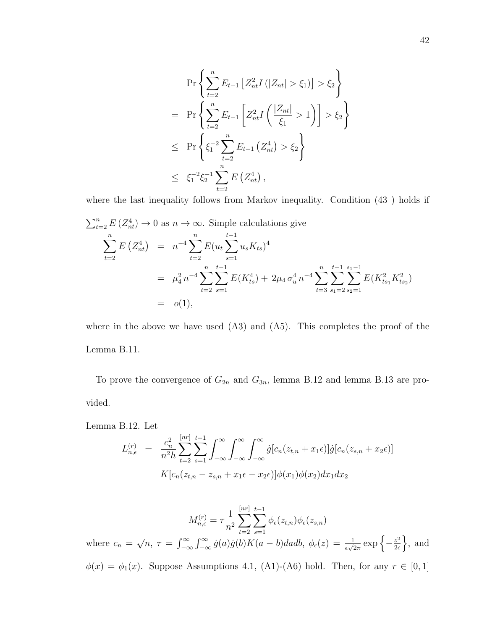$$
\Pr\left\{\sum_{t=2}^{n} E_{t-1} \left[ Z_{nt}^{2} I\left(|Z_{nt}| > \xi_{1}\right) \right] > \xi_{2} \right\}
$$
\n
$$
= \Pr\left\{\sum_{t=2}^{n} E_{t-1} \left[ Z_{nt}^{2} I\left(\frac{|Z_{nt}|}{\xi_{1}} > 1\right) \right] > \xi_{2} \right\}
$$
\n
$$
\leq \Pr\left\{\xi_{1}^{-2} \sum_{t=2}^{n} E_{t-1}\left(Z_{nt}^{4}\right) > \xi_{2} \right\}
$$
\n
$$
\leq \xi_{1}^{-2} \xi_{2}^{-1} \sum_{t=2}^{n} E\left(Z_{nt}^{4}\right),
$$

where the last inequality follows from Markov inequality. Condition (43 ) holds if

$$
\sum_{t=2}^{n} E(Z_{nt}^{4}) \to 0 \text{ as } n \to \infty. \text{ Simple calculations give}
$$
\n
$$
\sum_{t=2}^{n} E(Z_{nt}^{4}) = n^{-4} \sum_{t=2}^{n} E(u_{t} \sum_{s=1}^{t-1} u_{s} K_{ts})^{4}
$$
\n
$$
= \mu_{4}^{2} n^{-4} \sum_{t=2}^{n} \sum_{s=1}^{t-1} E(K_{ts}^{4}) + 2\mu_{4} \sigma_{u}^{4} n^{-4} \sum_{t=3}^{n} \sum_{s_{1}=2}^{t-1} \sum_{s_{2}=1}^{s_{1}-1} E(K_{ts_{1}}^{2} K_{ts_{2}}^{2})
$$
\n
$$
= o(1),
$$

where in the above we have used  $(A3)$  and  $(A5)$ . This completes the proof of the Lemma B.11.

To prove the convergence of  $G_{2n}$  and  $G_{3n}$ , lemma B.12 and lemma B.13 are provided.

Lemma B.12. Let

$$
L_{n,\epsilon}^{(r)} = \frac{c_n^2}{n^2 h} \sum_{t=2}^{\lfloor nr \rfloor} \sum_{s=1}^{t-1} \int_{-\infty}^{\infty} \int_{-\infty}^{\infty} \int_{-\infty}^{\infty} \dot{g} [c_n(z_{t,n} + x_1 \epsilon)] \dot{g} [c_n(z_{s,n} + x_2 \epsilon)]
$$

$$
K[c_n(z_{t,n} - z_{s,n} + x_1 \epsilon - x_2 \epsilon)] \phi(x_1) \phi(x_2) dx_1 dx_2
$$

$$
M_{n,\epsilon}^{(r)} = \tau \frac{1}{n^2} \sum_{t=2}^{\lfloor nr \rfloor} \sum_{s=1}^{t-1} \phi_{\epsilon}(z_{t,n}) \phi_{\epsilon}(z_{s,n})
$$
  
where  $c_n = \sqrt{n}$ ,  $\tau = \int_{-\infty}^{\infty} \int_{-\infty}^{\infty} \dot{g}(a) \dot{g}(b) K(a-b) da db$ ,  $\phi_{\epsilon}(z) = \frac{1}{\epsilon \sqrt{2\pi}} \exp\left\{-\frac{z^2}{2\epsilon}\right\}$ , and  
 $\phi(x) = \phi_1(x)$ . Suppose Assumptions 4.1, (A1)-(A6) hold. Then, for any  $r \in [0,1]$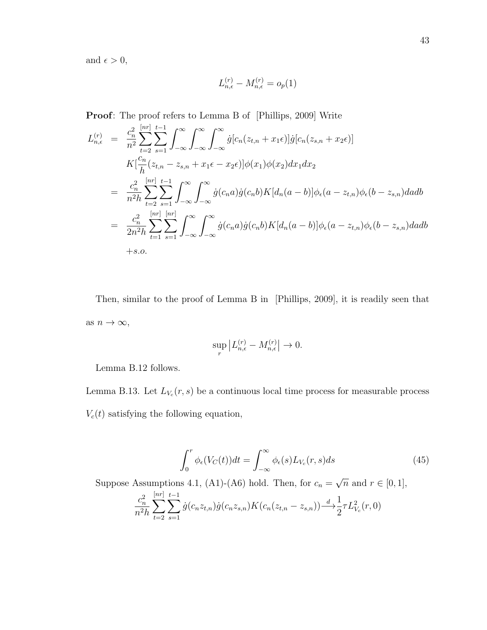and  $\epsilon > 0$ ,

$$
L_{n,\epsilon}^{(r)} - M_{n,\epsilon}^{(r)} = o_p(1)
$$

Proof: The proof refers to Lemma B of [Phillips, 2009] Write

$$
L_{n,\epsilon}^{(r)} = \frac{c_n^2}{n^2} \sum_{t=2}^{\lfloor nr \rfloor} \sum_{s=1}^{t-1} \int_{-\infty}^{\infty} \int_{-\infty}^{\infty} \int_{-\infty}^{\infty} \dot{g}[c_n(z_{t,n} + x_1\epsilon)] \dot{g}[c_n(z_{s,n} + x_2\epsilon)]
$$
  
\n
$$
K\left[\frac{c_n}{h}(z_{t,n} - z_{s,n} + x_1\epsilon - x_2\epsilon)\right] \phi(x_1) \phi(x_2) dx_1 dx_2
$$
  
\n
$$
= \frac{c_n^2}{n^2 h} \sum_{t=2}^{\lfloor nr \rfloor} \sum_{s=1}^{t-1} \int_{-\infty}^{\infty} \int_{-\infty}^{\infty} \dot{g}(c_n a) \dot{g}(c_n b) K[d_n(a-b)] \phi_{\epsilon}(a-z_{t,n}) \phi_{\epsilon}(b-z_{s,n}) da db
$$
  
\n
$$
= \frac{c_n^2}{2n^2 h} \sum_{t=1}^{\lfloor nr \rfloor} \sum_{s=1}^{\lfloor nr \rfloor} \int_{-\infty}^{\infty} \int_{-\infty}^{\infty} \dot{g}(c_n a) \dot{g}(c_n b) K[d_n(a-b)] \phi_{\epsilon}(a-z_{t,n}) \phi_{\epsilon}(b-z_{s,n}) da db
$$
  
\n
$$
+s.o.
$$

Then, similar to the proof of Lemma B in [Phillips, 2009], it is readily seen that as  $n\to\infty,$ 

$$
\sup_r \left| L_{n,\epsilon}^{(r)} - M_{n,\epsilon}^{(r)} \right| \to 0.
$$

Lemma B.12 follows.

Lemma B.13. Let  $L_{V_c}(r,s)$  be a continuous local time process for measurable process  $V_c(t)$  satisfying the following equation,

$$
\int_0^r \phi_{\epsilon}(V_C(t))dt = \int_{-\infty}^{\infty} \phi_{\epsilon}(s)L_{V_c}(r,s)ds
$$
\n(45)

Suppose Assumptions 4.1, (A1)-(A6) hold. Then, for  $c_n =$  $\overline{n}$  and  $r \in [0,1],$ 

$$
\frac{c_n^2}{n^2h} \sum_{t=2}^{[nr]} \sum_{s=1}^{t-1} \dot{g}(c_n z_{t,n}) \dot{g}(c_n z_{s,n}) K(c_n(z_{t,n} - z_{s,n})) \longrightarrow \frac{d}{2} \tau L_{V_c}^2(r, 0)
$$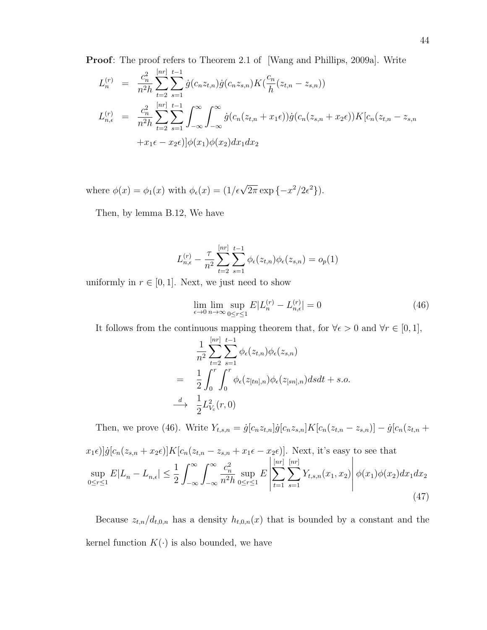**Proof:** The proof refers to Theorem 2.1 of [Wang and Phillips, 2009a]. Write

$$
L_n^{(r)} = \frac{c_n^2}{n^2 h} \sum_{t=2}^{\lfloor nr \rfloor} \sum_{s=1}^{t-1} \dot{g}(c_n z_{t,n}) \dot{g}(c_n z_{s,n}) K(\frac{c_n}{h}(z_{t,n} - z_{s,n}))
$$
  
\n
$$
L_{n,\epsilon}^{(r)} = \frac{c_n^2}{n^2 h} \sum_{t=2}^{\lfloor nr \rfloor} \sum_{s=1}^{t-1} \int_{-\infty}^{\infty} \int_{-\infty}^{\infty} \dot{g}(c_n(z_{t,n} + x_1 \epsilon)) \dot{g}(c_n(z_{s,n} + x_2 \epsilon)) K[c_n(z_{t,n} - z_{s,n} + x_1 \epsilon - x_2 \epsilon)] \phi(x_1) \phi(x_2) dx_1 dx_2
$$

where  $\phi(x) = \phi_1(x)$  with  $\phi_{\epsilon}(x) = (1/\epsilon \sqrt{2\pi} \exp(-x^2/2\epsilon^2)).$ 

Then, by lemma B.12, We have

$$
L_{n,\epsilon}^{(r)} - \frac{\tau}{n^2} \sum_{t=2}^{[nr]} \sum_{s=1}^{t-1} \phi_{\epsilon}(z_{t,n}) \phi_{\epsilon}(z_{s,n}) = o_p(1)
$$

uniformly in  $r \in [0, 1]$ . Next, we just need to show

$$
\lim_{\epsilon \to 0} \lim_{n \to \infty} \sup_{0 \le r \le 1} E|L_n^{(r)} - L_{n,\epsilon}^{(r)}| = 0
$$
\n(46)

It follows from the continuous mapping theorem that, for  $\forall \epsilon > 0$  and  $\forall r \in [0, 1]$ ,

$$
\frac{1}{n^2} \sum_{t=2}^{[nr]} \sum_{s=1}^{t-1} \phi_{\epsilon}(z_{t,n}) \phi_{\epsilon}(z_{s,n})
$$
\n
$$
= \frac{1}{2} \int_0^r \int_0^r \phi_{\epsilon}(z_{[tn],n}) \phi_{\epsilon}(z_{[sn],n}) ds dt + s.o.
$$
\n
$$
\xrightarrow{d} \frac{1}{2} L_{V_c}^2(r, 0)
$$

Then, we prove (46). Write  $Y_{t,s,n} = \dot{g}[c_n z_{t,n}] \dot{g}[c_n z_{s,n}] K[c_n(z_{t,n} - z_{s,n})] - \dot{g}[c_n(z_{t,n} + z_{s,n})]$ 

$$
x_{1}\epsilon)\left[\dot{g}[c_{n}(z_{s,n}+x_{2}\epsilon)]K[c_{n}(z_{t,n}-z_{s,n}+x_{1}\epsilon-x_{2}\epsilon)]\right]
$$
 Next, it's easy to see that  
\n
$$
\sup_{0\leq r\leq 1} E|L_{n}-L_{n,\epsilon}| \leq \frac{1}{2} \int_{-\infty}^{\infty} \int_{-\infty}^{\infty} \int_{-\infty}^{\infty} \frac{c_{n}^{2}}{n^{2}h} \sup_{0\leq r\leq 1} E\left|\sum_{t=1}^{\lfloor nr\rfloor} \sum_{s=1}^{\lfloor nr\rfloor} Y_{t,s,n}(x_{1},x_{2})\right| \phi(x_{1})\phi(x_{2})dx_{1}dx_{2}
$$
\n(47)

Because  $z_{t,n}/d_{t,0,n}$  has a density  $h_{t,0,n}(x)$  that is bounded by a constant and the kernel function  $K(\cdot)$  is also bounded, we have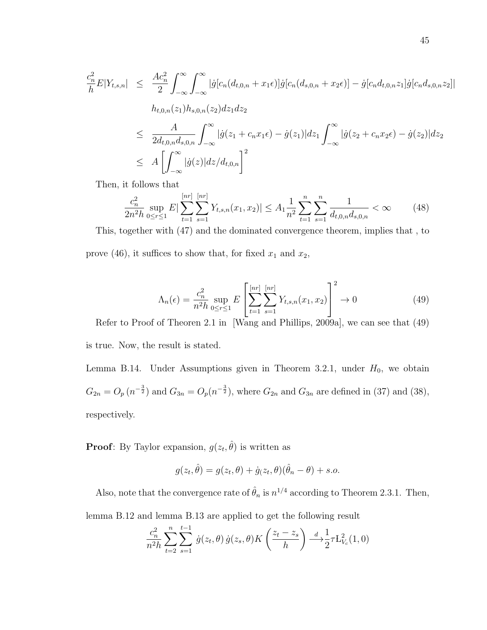$$
\frac{c_n^2}{h} E|Y_{t,s,n}| \leq \frac{Ac_n^2}{2} \int_{-\infty}^{\infty} \int_{-\infty}^{\infty} |\dot{g}[c_n(d_{t,0,n} + x_1\epsilon)] \dot{g}[c_n(d_{s,0,n} + x_2\epsilon)] - \dot{g}[c_n d_{t,0,n} z_1] \dot{g}[c_n d_{s,0,n} z_2]|
$$
\n
$$
h_{t,0,n}(z_1) h_{s,0,n}(z_2) dz_1 dz_2
$$
\n
$$
\leq \frac{A}{2d_{t,0,n} d_{s,0,n}} \int_{-\infty}^{\infty} |\dot{g}(z_1 + c_n x_1\epsilon) - \dot{g}(z_1)| dz_1 \int_{-\infty}^{\infty} |\dot{g}(z_2 + c_n x_2\epsilon) - \dot{g}(z_2)| dz_2
$$
\n
$$
\leq A \left[ \int_{-\infty}^{\infty} |\dot{g}(z)| dz/d_{t,0,n} \right]^2
$$

Then, it follows that

$$
\frac{c_n^2}{2n^2h} \sup_{0 \le r \le 1} E|\sum_{t=1}^{[nr]} \sum_{s=1}^{[nr]} Y_{t,s,n}(x_1, x_2)| \le A_1 \frac{1}{n^2} \sum_{t=1}^n \sum_{s=1}^n \frac{1}{d_{t,0,n} d_{s,0,n}} < \infty \tag{48}
$$

This, together with (47) and the dominated convergence theorem, implies that , to prove (46), it suffices to show that, for fixed  $x_1$  and  $x_2$ ,

$$
\Lambda_n(\epsilon) = \frac{c_n^2}{n^2 h} \sup_{0 \le r \le 1} E\left[\sum_{t=1}^{[nr]} \sum_{s=1}^{[nr]} Y_{t,s,n}(x_1, x_2)\right]^2 \to 0
$$
\n(49)

Refer to Proof of Theoren 2.1 in [Wang and Phillips, 2009a], we can see that (49) is true. Now, the result is stated.

Lemma B.14. Under Assumptions given in Theorem 3.2.1, under  $H_0$ , we obtain  $G_{2n} = O_p(n^{-\frac{3}{2}})$  and  $G_{3n} = O_p(n^{-\frac{3}{2}})$ , where  $G_{2n}$  and  $G_{3n}$  are defined in (37) and (38), respectively.

**Proof**: By Taylor expansion,  $g(z_t, \hat{\theta})$  is written as

$$
g(z_t, \hat{\theta}) = g(z_t, \theta) + \dot{g}(z_t, \theta)(\hat{\theta}_n - \theta) + s.o.
$$

Also, note that the convergence rate of  $\hat{\theta}_n$  is  $n^{1/4}$  according to Theorem 2.3.1. Then,

lemma B.12 and lemma B.13 are applied to get the following result

$$
\frac{c_n^2}{n^2h} \sum_{t=2}^n \sum_{s=1}^{t-1} \dot{g}(z_t, \theta) \dot{g}(z_s, \theta) K\left(\frac{z_t - z_s}{h}\right) \stackrel{d}{\longrightarrow} \frac{1}{2} \tau L_{V_c}^2(1, 0)
$$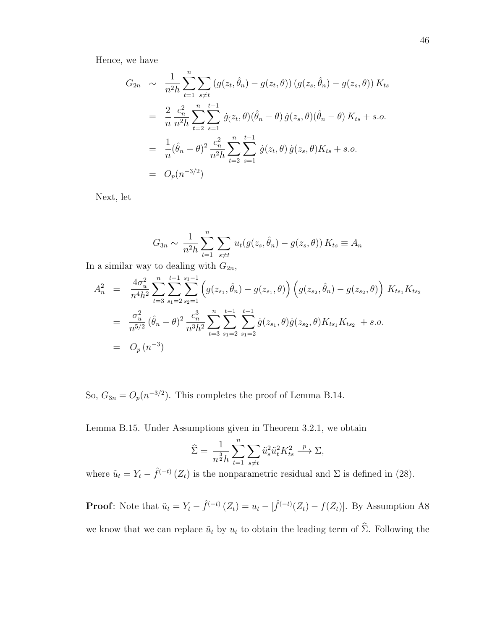Hence, we have

$$
G_{2n} \sim \frac{1}{n^2 h} \sum_{t=1}^n \sum_{s \neq t} \left( g(z_t, \hat{\theta}_n) - g(z_t, \theta) \right) \left( g(z_s, \hat{\theta}_n) - g(z_s, \theta) \right) K_{ts}
$$
  
\n
$$
= \frac{2}{n} \frac{c_n^2}{n^2 h} \sum_{t=2}^n \sum_{s=1}^{t-1} \dot{g}(z_t, \theta) (\hat{\theta}_n - \theta) \dot{g}(z_s, \theta) (\hat{\theta}_n - \theta) K_{ts} + s.o.
$$
  
\n
$$
= \frac{1}{n} (\hat{\theta}_n - \theta)^2 \frac{c_n^2}{n^2 h} \sum_{t=2}^n \sum_{s=1}^{t-1} \dot{g}(z_t, \theta) \dot{g}(z_s, \theta) K_{ts} + s.o.
$$
  
\n
$$
= O_p(n^{-3/2})
$$

Next, let

$$
G_{3n} \sim \frac{1}{n^2h} \sum_{t=1}^n \sum_{s \neq t} u_t(g(z_s, \hat{\theta}_n) - g(z_s, \theta)) K_{ts} \equiv A_n
$$

In a similar way to dealing with  $G_{2n}$ ,

$$
A_n^2 = \frac{4\sigma_u^2}{n^4h^2} \sum_{t=3}^n \sum_{s_1=2}^{t-1} \sum_{s_2=1}^{s_1-1} \left( g(z_{s_1}, \hat{\theta}_n) - g(z_{s_1}, \theta) \right) \left( g(z_{s_2}, \hat{\theta}_n) - g(z_{s_2}, \theta) \right) K_{ts_1} K_{ts_2}
$$
  
\n
$$
= \frac{\sigma_u^2}{n^{5/2}} (\hat{\theta}_n - \theta)^2 \frac{c_n^3}{n^3 h^2} \sum_{t=3}^n \sum_{s_1=2}^{t-1} \sum_{s_1=2}^{t-1} \dot{g}(z_{s_1}, \theta) \dot{g}(z_{s_2}, \theta) K_{ts_1} K_{ts_2} + s.o.
$$
  
\n
$$
= O_p(n^{-3})
$$

So,  $G_{3n} = O_p(n^{-3/2})$ . This completes the proof of Lemma B.14.

Lemma B.15. Under Assumptions given in Theorem 3.2.1, we obtain

$$
\widehat{\Sigma} = \frac{1}{n^{\frac{3}{2}}h} \sum_{t=1}^{n} \sum_{s \neq t} \widetilde{u}_s^2 \widetilde{u}_t^2 K_{ts}^2 \xrightarrow{p} \Sigma,
$$

where  $\tilde{u}_t = Y_t - \hat{f}^{(-t)}(Z_t)$  is the nonparametric residual and  $\Sigma$  is defined in (28).

**Proof**: Note that  $\tilde{u}_t = Y_t - \hat{f}^{(-t)}(Z_t) = u_t - [\hat{f}^{(-t)}(Z_t) - f(Z_t)].$  By Assumption A8 we know that we can replace  $\tilde{u}_t$  by  $u_t$  to obtain the leading term of  $\widehat{\Sigma}$ . Following the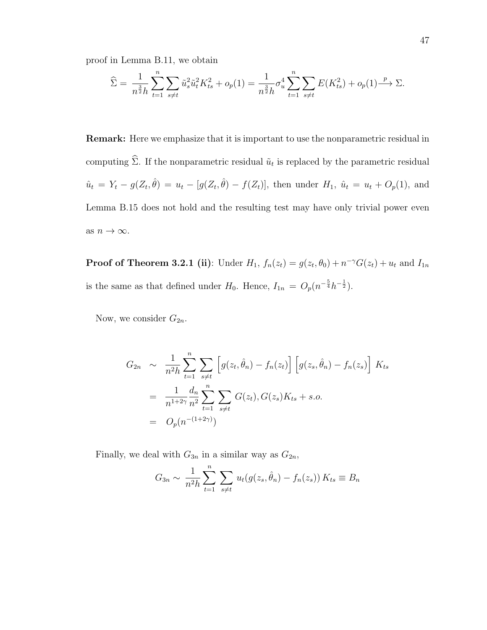proof in Lemma B.11, we obtain

$$
\widehat{\Sigma} = \frac{1}{n^{\frac{3}{2}}h} \sum_{t=1}^{n} \sum_{s \neq t} \tilde{u}_s^2 \tilde{u}_t^2 K_{ts}^2 + o_p(1) = \frac{1}{n^{\frac{3}{2}}h} \sigma_u^4 \sum_{t=1}^{n} \sum_{s \neq t} E(K_{ts}^2) + o_p(1) \xrightarrow{p} \Sigma.
$$

Remark: Here we emphasize that it is important to use the nonparametric residual in computing  $\Sigma$ . If the nonparametric residual  $\tilde{u}_t$  is replaced by the parametric residual  $\hat{u}_t = Y_t - g(Z_t, \hat{\theta}) = u_t - [g(Z_t, \hat{\theta}) - f(Z_t)],$  then under  $H_1, \hat{u}_t = u_t + O_p(1)$ , and Lemma B.15 does not hold and the resulting test may have only trivial power even as  $n\to\infty.$ 

**Proof of Theorem 3.2.1 (ii)**: Under  $H_1$ ,  $f_n(z_t) = g(z_t, \theta_0) + n^{-\gamma} G(z_t) + u_t$  and  $I_{1n}$ is the same as that defined under  $H_0$ . Hence,  $I_{1n} = O_p(n^{-\frac{5}{4}}h^{-\frac{1}{2}})$ .

Now, we consider  $G_{2n}$ .

$$
G_{2n} \sim \frac{1}{n^2 h} \sum_{t=1}^n \sum_{s \neq t} \left[ g(z_t, \hat{\theta}_n) - f_n(z_t) \right] \left[ g(z_s, \hat{\theta}_n) - f_n(z_s) \right] K_{ts}
$$
  
= 
$$
\frac{1}{n^{1+2\gamma}} \frac{d_n}{n^2} \sum_{t=1}^n \sum_{s \neq t} G(z_t), G(z_s) K_{ts} + s.o.
$$
  
= 
$$
O_p(n^{-(1+2\gamma)})
$$

Finally, we deal with  $G_{3n}$  in a similar way as  $G_{2n}$ ,

$$
G_{3n} \sim \frac{1}{n^2 h} \sum_{t=1}^n \sum_{s \neq t} u_t(g(z_s, \hat{\theta}_n) - f_n(z_s)) K_{ts} \equiv B_n
$$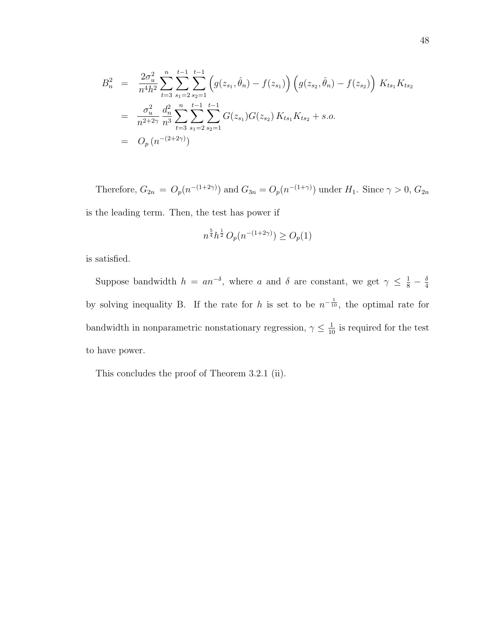$$
B_n^2 = \frac{2\sigma_u^2}{n^4h^2} \sum_{t=3}^n \sum_{s_1=2}^{t-1} \sum_{s_2=1}^{t-1} \left( g(z_{s_1}, \hat{\theta}_n) - f(z_{s_1}) \right) \left( g(z_{s_2}, \hat{\theta}_n) - f(z_{s_2}) \right) K_{ts_1} K_{ts_2}
$$
  
\n
$$
= \frac{\sigma_u^2}{n^{2+2\gamma}} \frac{d_n^2}{n^3} \sum_{t=3}^n \sum_{s_1=2}^{t-1} \sum_{s_2=1}^{t-1} G(z_{s_1}) G(z_{s_2}) K_{ts_1} K_{ts_2} + s.o.
$$
  
\n
$$
= O_p(n^{-(2+2\gamma)})
$$

Therefore,  $G_{2n} = O_p(n^{-(1+2\gamma)})$  and  $G_{3n} = O_p(n^{-(1+\gamma)})$  under  $H_1$ . Since  $\gamma > 0$ ,  $G_{2n}$ is the leading term. Then, the test has power if

$$
n^{\frac{5}{4}}h^{\frac{1}{2}} O_p(n^{-(1+2\gamma)}) \ge O_p(1)
$$

is satisfied.

Suppose bandwidth  $h = a n^{-\delta}$ , where a and  $\delta$  are constant, we get  $\gamma \leq \frac{1}{8} - \frac{\delta}{4}$ 4 by solving inequality B. If the rate for h is set to be  $n^{-\frac{1}{10}}$ , the optimal rate for bandwidth in nonparametric nonstationary regression,  $\gamma \leq \frac{1}{10}$  is required for the test to have power.

This concludes the proof of Theorem 3.2.1 (ii).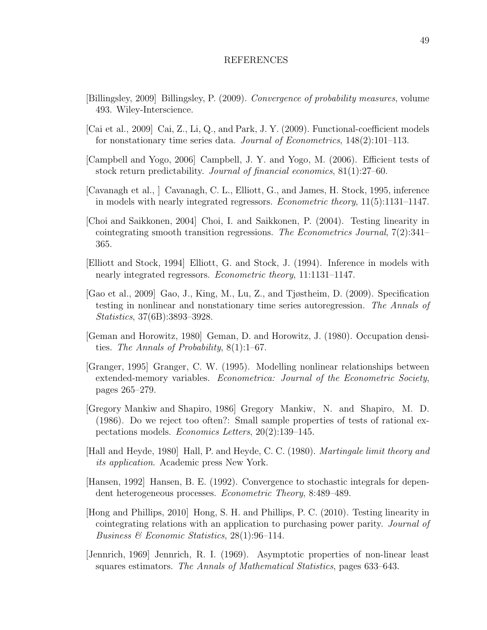#### REFERENCES

- [Billingsley, 2009] Billingsley, P. (2009). Convergence of probability measures, volume 493. Wiley-Interscience.
- [Cai et al., 2009] Cai, Z., Li, Q., and Park, J. Y. (2009). Functional-coefficient models for nonstationary time series data. Journal of Econometrics, 148(2):101–113.
- [Campbell and Yogo, 2006] Campbell, J. Y. and Yogo, M. (2006). Efficient tests of stock return predictability. Journal of financial economics, 81(1):27–60.
- [Cavanagh et al., ] Cavanagh, C. L., Elliott, G., and James, H. Stock, 1995, inference in models with nearly integrated regressors. Econometric theory, 11(5):1131–1147.
- [Choi and Saikkonen, 2004] Choi, I. and Saikkonen, P. (2004). Testing linearity in cointegrating smooth transition regressions. The Econometrics Journal,  $7(2):341-$ 365.
- [Elliott and Stock, 1994] Elliott, G. and Stock, J. (1994). Inference in models with nearly integrated regressors. Econometric theory, 11:1131–1147.
- [Gao et al., 2009] Gao, J., King, M., Lu, Z., and Tjøstheim, D. (2009). Specification testing in nonlinear and nonstationary time series autoregression. The Annals of Statistics, 37(6B):3893–3928.
- [Geman and Horowitz, 1980] Geman, D. and Horowitz, J. (1980). Occupation densities. The Annals of Probability,  $8(1):1-67$ .
- [Granger, 1995] Granger, C. W. (1995). Modelling nonlinear relationships between extended-memory variables. Econometrica: Journal of the Econometric Society, pages 265–279.
- [Gregory Mankiw and Shapiro, 1986] Gregory Mankiw, N. and Shapiro, M. D. (1986). Do we reject too often?: Small sample properties of tests of rational expectations models. Economics Letters, 20(2):139–145.
- [Hall and Heyde, 1980] Hall, P. and Heyde, C. C. (1980). Martingale limit theory and its application. Academic press New York.
- [Hansen, 1992] Hansen, B. E. (1992). Convergence to stochastic integrals for dependent heterogeneous processes. Econometric Theory, 8:489–489.
- [Hong and Phillips, 2010] Hong, S. H. and Phillips, P. C. (2010). Testing linearity in cointegrating relations with an application to purchasing power parity. Journal of Business & Economic Statistics, 28(1):96–114.
- [Jennrich, 1969] Jennrich, R. I. (1969). Asymptotic properties of non-linear least squares estimators. The Annals of Mathematical Statistics, pages 633–643.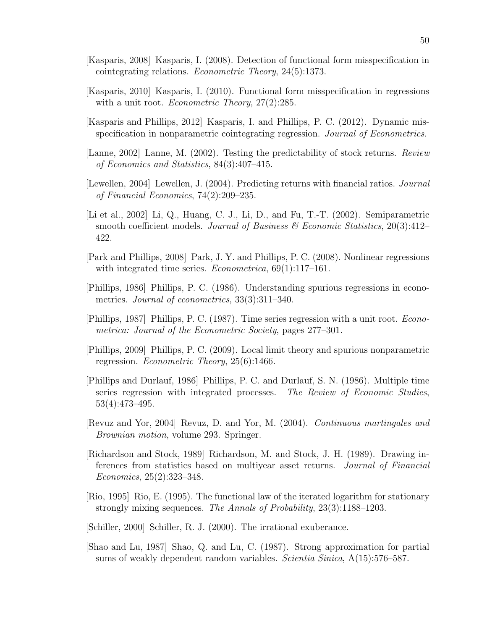- [Kasparis, 2008] Kasparis, I. (2008). Detection of functional form misspecification in cointegrating relations. Econometric Theory, 24(5):1373.
- [Kasparis, 2010] Kasparis, I. (2010). Functional form misspecification in regressions with a unit root. *Econometric Theory*, 27(2):285.
- [Kasparis and Phillips, 2012] Kasparis, I. and Phillips, P. C. (2012). Dynamic misspecification in nonparametric cointegrating regression. Journal of Econometrics.
- [Lanne, 2002] Lanne, M. (2002). Testing the predictability of stock returns. Review of Economics and Statistics, 84(3):407–415.
- [Lewellen, 2004] Lewellen, J. (2004). Predicting returns with financial ratios. Journal of Financial Economics, 74(2):209–235.
- [Li et al., 2002] Li, Q., Huang, C. J., Li, D., and Fu, T.-T. (2002). Semiparametric smooth coefficient models. Journal of Business  $\mathscr B$  Economic Statistics, 20(3):412– 422.
- [Park and Phillips, 2008] Park, J. Y. and Phillips, P. C. (2008). Nonlinear regressions with integrated time series. *Econometrica*, 69(1):117–161.
- [Phillips, 1986] Phillips, P. C. (1986). Understanding spurious regressions in econometrics. Journal of econometrics, 33(3):311–340.
- [Phillips, 1987] Phillips, P. C. (1987). Time series regression with a unit root. Econometrica: Journal of the Econometric Society, pages 277–301.
- [Phillips, 2009] Phillips, P. C. (2009). Local limit theory and spurious nonparametric regression. Econometric Theory, 25(6):1466.
- [Phillips and Durlauf, 1986] Phillips, P. C. and Durlauf, S. N. (1986). Multiple time series regression with integrated processes. The Review of Economic Studies, 53(4):473–495.
- [Revuz and Yor, 2004] Revuz, D. and Yor, M. (2004). Continuous martingales and Brownian motion, volume 293. Springer.
- [Richardson and Stock, 1989] Richardson, M. and Stock, J. H. (1989). Drawing inferences from statistics based on multiyear asset returns. Journal of Financial Economics, 25(2):323–348.
- [Rio, 1995] Rio, E. (1995). The functional law of the iterated logarithm for stationary strongly mixing sequences. The Annals of Probability, 23(3):1188–1203.
- [Schiller, 2000] Schiller, R. J. (2000). The irrational exuberance.
- [Shao and Lu, 1987] Shao, Q. and Lu, C. (1987). Strong approximation for partial sums of weakly dependent random variables. *Scientia Sinica*, A(15):576–587.